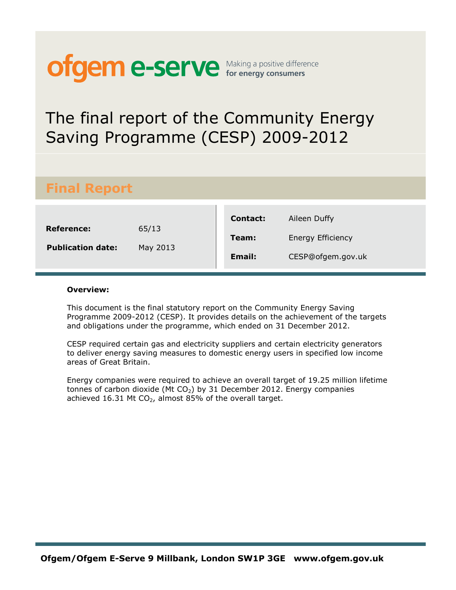# **ofgem e-serve** Making a positive difference

# The final report of the Community Energy Saving Programme (CESP) 2009-2012

# **Final Report**

|                                        |                   | Contact:      | Aileen Duffy             |
|----------------------------------------|-------------------|---------------|--------------------------|
| Reference:<br><b>Publication date:</b> | 65/13<br>May 2013 | Team:         | <b>Energy Efficiency</b> |
|                                        |                   | <b>Email:</b> | CESP@ofgem.gov.uk        |

#### **Overview:**

This document is the final statutory report on the Community Energy Saving Programme 2009-2012 (CESP). It provides details on the achievement of the targets and obligations under the programme, which ended on 31 December 2012.

CESP required certain gas and electricity suppliers and certain electricity generators to deliver energy saving measures to domestic energy users in specified low income areas of Great Britain.

Energy companies were required to achieve an overall target of 19.25 million lifetime tonnes of carbon dioxide (Mt  $CO<sub>2</sub>$ ) by 31 December 2012. Energy companies achieved 16.31 Mt  $CO<sub>2</sub>$ , almost 85% of the overall target.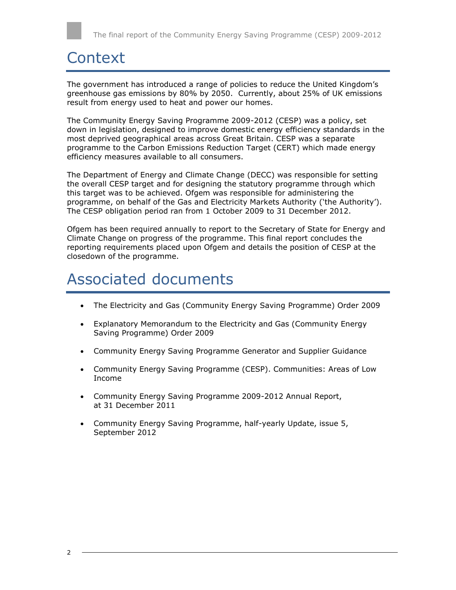# **Context**

The government has introduced a range of policies to reduce the United Kingdom's greenhouse gas emissions by 80% by 2050. Currently, about 25% of UK emissions result from energy used to heat and power our homes.

The Community Energy Saving Programme 2009-2012 (CESP) was a policy, set down in legislation, designed to improve domestic energy efficiency standards in the most deprived geographical areas across Great Britain. CESP was a separate programme to the Carbon Emissions Reduction Target (CERT) which made energy efficiency measures available to all consumers.

The Department of Energy and Climate Change (DECC) was responsible for setting the overall CESP target and for designing the statutory programme through which this target was to be achieved. Ofgem was responsible for administering the programme, on behalf of the Gas and Electricity Markets Authority ('the Authority'). The CESP obligation period ran from 1 October 2009 to 31 December 2012.

Ofgem has been required annually to report to the Secretary of State for Energy and Climate Change on progress of the programme. This final report concludes the reporting requirements placed upon Ofgem and details the position of CESP at the closedown of the programme.

# Associated documents

- The Electricity and Gas (Community Energy Saving Programme) Order 2009
- Explanatory Memorandum to the Electricity and Gas (Community Energy Saving Programme) Order 2009
- Community Energy Saving Programme Generator and Supplier Guidance
- Community Energy Saving Programme (CESP). Communities: Areas of Low Income
- Community Energy Saving Programme 2009-2012 Annual Report, at 31 December 2011
- Community Energy Saving Programme, half-yearly Update, issue 5, September 2012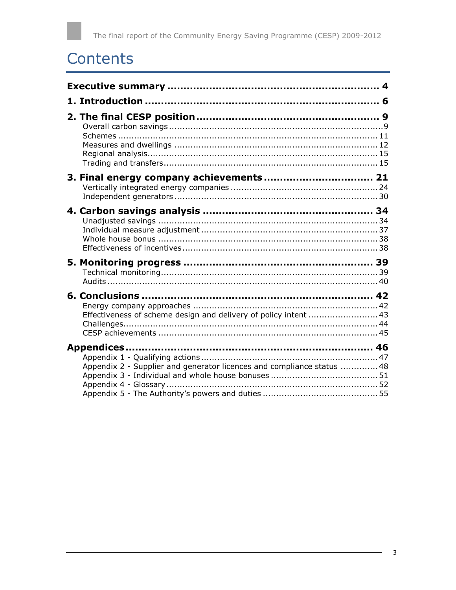# Contents

| Effectiveness of scheme design and delivery of policy intent  43       |  |
|------------------------------------------------------------------------|--|
| Appendix 2 - Supplier and generator licences and compliance status  48 |  |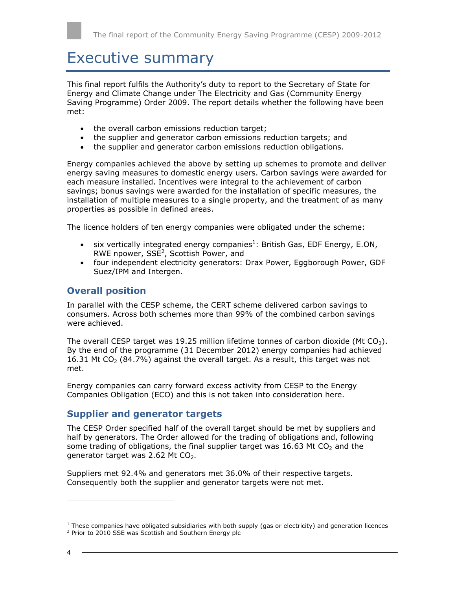# <span id="page-3-0"></span>Executive summary

This final report fulfils the Authority's duty to report to the Secretary of State for Energy and Climate Change under The Electricity and Gas (Community Energy Saving Programme) Order 2009. The report details whether the following have been met:

- the overall carbon emissions reduction target;
- the supplier and generator carbon emissions reduction targets; and
- the supplier and generator carbon emissions reduction obligations.

Energy companies achieved the above by setting up schemes to promote and deliver energy saving measures to domestic energy users. Carbon savings were awarded for each measure installed. Incentives were integral to the achievement of carbon savings; bonus savings were awarded for the installation of specific measures, the installation of multiple measures to a single property, and the treatment of as many properties as possible in defined areas.

The licence holders of ten energy companies were obligated under the scheme:

- six vertically integrated energy companies<sup>1</sup>: British Gas, EDF Energy, E.ON, RWE npower,  $SSE<sup>2</sup>$ , Scottish Power, and
- four independent electricity generators: Drax Power, Eggborough Power, GDF Suez/IPM and Intergen.

### **Overall position**

In parallel with the CESP scheme, the CERT scheme delivered carbon savings to consumers. Across both schemes more than 99% of the combined carbon savings were achieved.

The overall CESP target was 19.25 million lifetime tonnes of carbon dioxide (Mt  $CO<sub>2</sub>$ ). By the end of the programme (31 December 2012) energy companies had achieved 16.31 Mt  $CO<sub>2</sub>$  (84.7%) against the overall target. As a result, this target was not met.

Energy companies can carry forward excess activity from CESP to the Energy Companies Obligation (ECO) and this is not taken into consideration here.

### **Supplier and generator targets**

The CESP Order specified half of the overall target should be met by suppliers and half by generators. The Order allowed for the trading of obligations and, following some trading of obligations, the final supplier target was 16.63 Mt  $CO<sub>2</sub>$  and the generator target was 2.62 Mt  $CO<sub>2</sub>$ .

Suppliers met 92.4% and generators met 36.0% of their respective targets. Consequently both the supplier and generator targets were not met.

l

 $1$  These companies have obligated subsidiaries with both supply (gas or electricity) and generation licences

<sup>&</sup>lt;sup>2</sup> Prior to 2010 SSE was Scottish and Southern Energy plc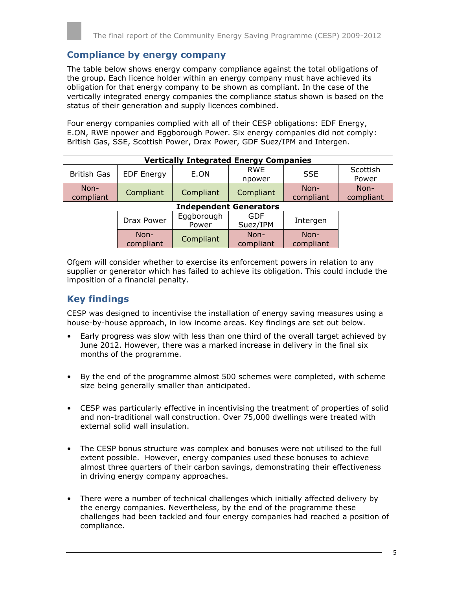### **Compliance by energy company**

The table below shows energy company compliance against the total obligations of the group. Each licence holder within an energy company must have achieved its obligation for that energy company to be shown as compliant. In the case of the vertically integrated energy companies the compliance status shown is based on the status of their generation and supply licences combined.

Four energy companies complied with all of their CESP obligations: EDF Energy, E.ON, RWE npower and Eggborough Power. Six energy companies did not comply: British Gas, SSE, Scottish Power, Drax Power, GDF Suez/IPM and Intergen.

|                    | <b>Vertically Integrated Energy Companies</b> |                               |                        |                     |                   |
|--------------------|-----------------------------------------------|-------------------------------|------------------------|---------------------|-------------------|
| <b>British Gas</b> | <b>EDF Energy</b>                             | E.ON                          | <b>RWE</b><br>npower   | <b>SSE</b>          | Scottish<br>Power |
| Non-<br>compliant  | Compliant                                     | Compliant                     | Compliant              | Non-<br>compliant   | Non-<br>compliant |
|                    |                                               | <b>Independent Generators</b> |                        |                     |                   |
|                    | Drax Power                                    | Eggborough<br>Power           | <b>GDF</b><br>Suez/IPM | Intergen            |                   |
|                    | Non-<br>compliant                             | Compliant                     | Non-<br>compliant      | $Non-$<br>compliant |                   |

Ofgem will consider whether to exercise its enforcement powers in relation to any supplier or generator which has failed to achieve its obligation. This could include the imposition of a financial penalty.

### **Key findings**

CESP was designed to incentivise the installation of energy saving measures using a house-by-house approach, in low income areas. Key findings are set out below.

- Early progress was slow with less than one third of the overall target achieved by June 2012. However, there was a marked increase in delivery in the final six months of the programme.
- By the end of the programme almost 500 schemes were completed, with scheme size being generally smaller than anticipated.
- CESP was particularly effective in incentivising the treatment of properties of solid and non-traditional wall construction. Over 75,000 dwellings were treated with external solid wall insulation.
- The CESP bonus structure was complex and bonuses were not utilised to the full extent possible. However, energy companies used these bonuses to achieve almost three quarters of their carbon savings, demonstrating their effectiveness in driving energy company approaches.
- There were a number of technical challenges which initially affected delivery by the energy companies. Nevertheless, by the end of the programme these challenges had been tackled and four energy companies had reached a position of compliance.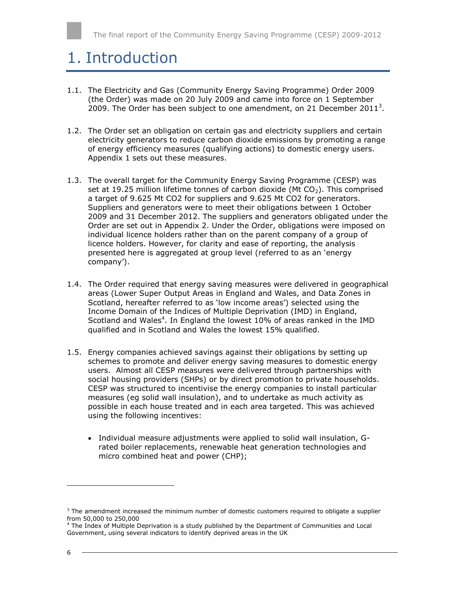# <span id="page-5-0"></span>1. Introduction

- 1.1. The Electricity and Gas (Community Energy Saving Programme) Order 2009 (the Order) was made on 20 July 2009 and came into force on 1 September 2009. The Order has been subject to one amendment, on 21 December 2011<sup>3</sup>.
- 1.2. The Order set an obligation on certain gas and electricity suppliers and certain electricity generators to reduce carbon dioxide emissions by promoting a range of energy efficiency measures (qualifying actions) to domestic energy users. Appendix 1 sets out these measures.
- 1.3. The overall target for the Community Energy Saving Programme (CESP) was set at 19.25 million lifetime tonnes of carbon dioxide (Mt  $CO<sub>2</sub>$ ). This comprised a target of 9.625 Mt CO2 for suppliers and 9.625 Mt CO2 for generators. Suppliers and generators were to meet their obligations between 1 October 2009 and 31 December 2012. The suppliers and generators obligated under the Order are set out in Appendix 2. Under the Order, obligations were imposed on individual licence holders rather than on the parent company of a group of licence holders. However, for clarity and ease of reporting, the analysis presented here is aggregated at group level (referred to as an 'energy company').
- 1.4. The Order required that energy saving measures were delivered in geographical areas (Lower Super Output Areas in England and Wales, and Data Zones in Scotland, hereafter referred to as 'low income areas') selected using the Income Domain of the Indices of Multiple Deprivation (IMD) in England, Scotland and Wales<sup>4</sup>. In England the lowest 10% of areas ranked in the IMD qualified and in Scotland and Wales the lowest 15% qualified.
- 1.5. Energy companies achieved savings against their obligations by setting up schemes to promote and deliver energy saving measures to domestic energy users. Almost all CESP measures were delivered through partnerships with social housing providers (SHPs) or by direct promotion to private households. CESP was structured to incentivise the energy companies to install particular measures (eg solid wall insulation), and to undertake as much activity as possible in each house treated and in each area targeted. This was achieved using the following incentives:
	- Individual measure adjustments were applied to solid wall insulation, Grated boiler replacements, renewable heat generation technologies and micro combined heat and power (CHP);

l

 $3$  The amendment increased the minimum number of domestic customers required to obligate a supplier from 50,000 to 250,000

<sup>&</sup>lt;sup>4</sup> The Index of Multiple Deprivation is a study published by the Department of Communities and Local Government, using several indicators to identify deprived areas in the UK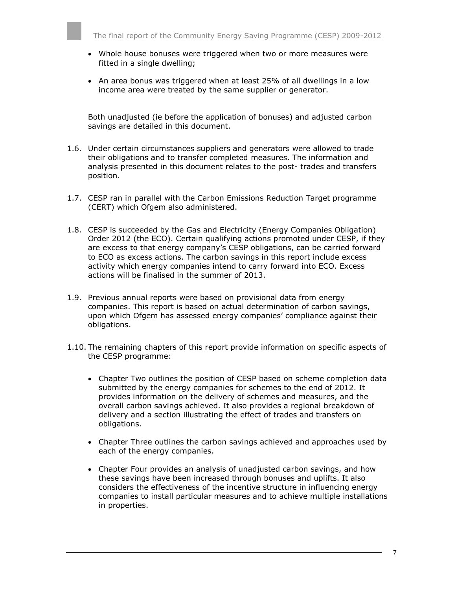- Whole house bonuses were triggered when two or more measures were fitted in a single dwelling;
- An area bonus was triggered when at least 25% of all dwellings in a low income area were treated by the same supplier or generator.

Both unadjusted (ie before the application of bonuses) and adjusted carbon savings are detailed in this document.

- 1.6. Under certain circumstances suppliers and generators were allowed to trade their obligations and to transfer completed measures. The information and analysis presented in this document relates to the post- trades and transfers position.
- 1.7. CESP ran in parallel with the Carbon Emissions Reduction Target programme (CERT) which Ofgem also administered.
- 1.8. CESP is succeeded by the Gas and Electricity (Energy Companies Obligation) Order 2012 (the ECO). Certain qualifying actions promoted under CESP, if they are excess to that energy company's CESP obligations, can be carried forward to ECO as excess actions. The carbon savings in this report include excess activity which energy companies intend to carry forward into ECO. Excess actions will be finalised in the summer of 2013.
- 1.9. Previous annual reports were based on provisional data from energy companies. This report is based on actual determination of carbon savings, upon which Ofgem has assessed energy companies' compliance against their obligations.
- 1.10. The remaining chapters of this report provide information on specific aspects of the CESP programme:
	- Chapter Two outlines the position of CESP based on scheme completion data submitted by the energy companies for schemes to the end of 2012. It provides information on the delivery of schemes and measures, and the overall carbon savings achieved. It also provides a regional breakdown of delivery and a section illustrating the effect of trades and transfers on obligations.
	- Chapter Three outlines the carbon savings achieved and approaches used by each of the energy companies.
	- Chapter Four provides an analysis of unadjusted carbon savings, and how these savings have been increased through bonuses and uplifts. It also considers the effectiveness of the incentive structure in influencing energy companies to install particular measures and to achieve multiple installations in properties.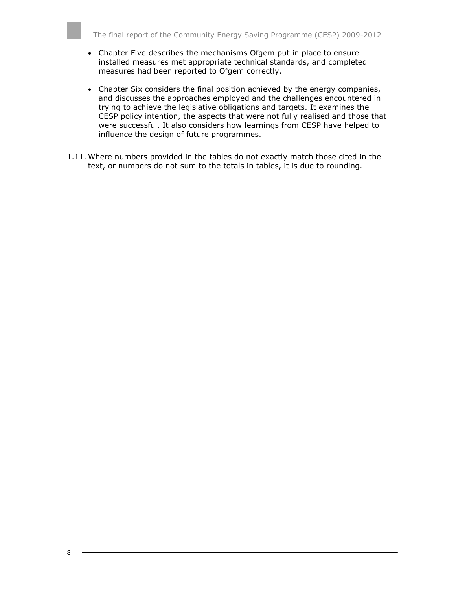- Chapter Five describes the mechanisms Ofgem put in place to ensure installed measures met appropriate technical standards, and completed measures had been reported to Ofgem correctly.
- Chapter Six considers the final position achieved by the energy companies, and discusses the approaches employed and the challenges encountered in trying to achieve the legislative obligations and targets. It examines the CESP policy intention, the aspects that were not fully realised and those that were successful. It also considers how learnings from CESP have helped to influence the design of future programmes.
- 1.11. Where numbers provided in the tables do not exactly match those cited in the text, or numbers do not sum to the totals in tables, it is due to rounding.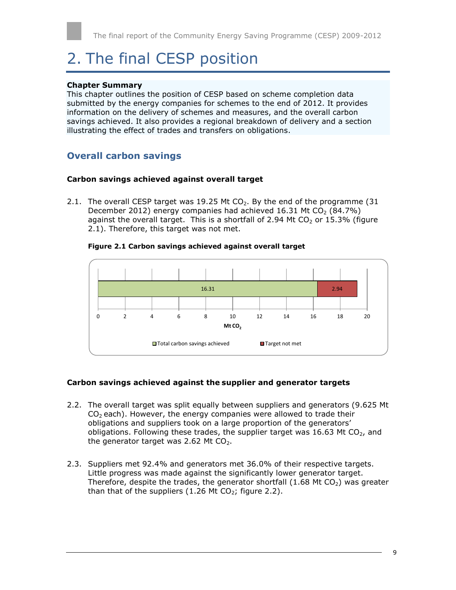# <span id="page-8-0"></span>2. The final CESP position

#### **Chapter Summary**

This chapter outlines the position of CESP based on scheme completion data submitted by the energy companies for schemes to the end of 2012. It provides information on the delivery of schemes and measures, and the overall carbon savings achieved. It also provides a regional breakdown of delivery and a section illustrating the effect of trades and transfers on obligations.

### <span id="page-8-1"></span>**Overall carbon savings**

#### **Carbon savings achieved against overall target**

2.1. The overall CESP target was 19.25 Mt  $CO<sub>2</sub>$ . By the end of the programme (31) December 2012) energy companies had achieved 16.31 Mt CO<sub>2</sub> (84.7%) against the overall target. This is a shortfall of 2.94 Mt  $CO<sub>2</sub>$  or 15.3% (figure 2.1). Therefore, this target was not met.

#### **Figure 2.1 Carbon savings achieved against overall target**



#### **Carbon savings achieved against the supplier and generator targets**

- 2.2. The overall target was split equally between suppliers and generators (9.625 Mt  $CO<sub>2</sub>$  each). However, the energy companies were allowed to trade their obligations and suppliers took on a large proportion of the generators' obligations. Following these trades, the supplier target was 16.63 Mt  $CO<sub>2</sub>$ , and the generator target was 2.62 Mt  $CO<sub>2</sub>$ .
- 2.3. Suppliers met 92.4% and generators met 36.0% of their respective targets. Little progress was made against the significantly lower generator target. Therefore, despite the trades, the generator shortfall  $(1.68 \text{ Mt } CO<sub>2</sub>)$  was greater than that of the suppliers (1.26 Mt  $CO<sub>2</sub>$ ; figure 2.2).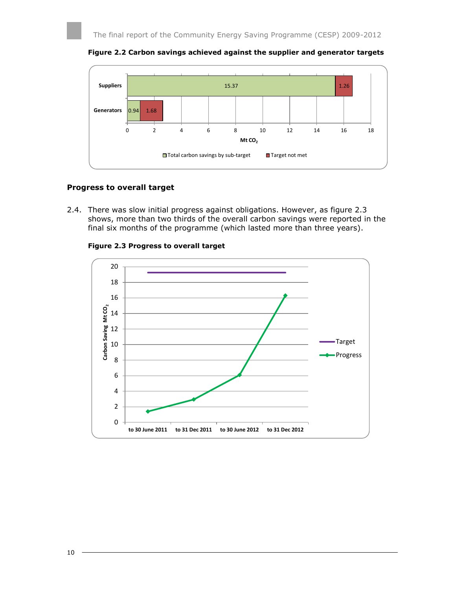



#### **Progress to overall target**

2.4. There was slow initial progress against obligations. However, as figure 2.3 shows, more than two thirds of the overall carbon savings were reported in the final six months of the programme (which lasted more than three years).



**Figure 2.3 Progress to overall target**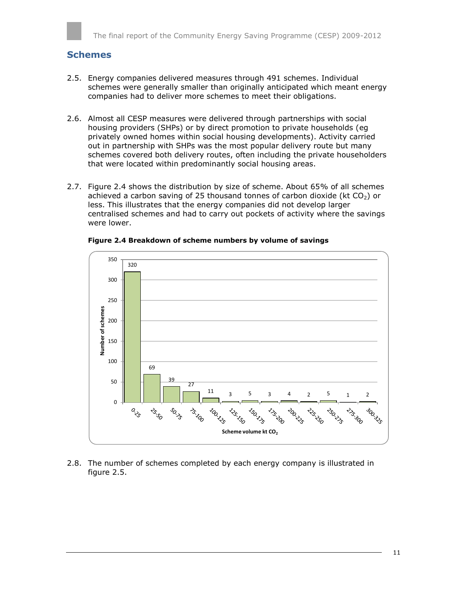### <span id="page-10-0"></span>**Schemes**

- 2.5. Energy companies delivered measures through 491 schemes. Individual schemes were generally smaller than originally anticipated which meant energy companies had to deliver more schemes to meet their obligations.
- 2.6. Almost all CESP measures were delivered through partnerships with social housing providers (SHPs) or by direct promotion to private households (eg privately owned homes within social housing developments). Activity carried out in partnership with SHPs was the most popular delivery route but many schemes covered both delivery routes, often including the private householders that were located within predominantly social housing areas.
- 2.7. Figure 2.4 shows the distribution by size of scheme. About 65% of all schemes achieved a carbon saving of 25 thousand tonnes of carbon dioxide (kt  $CO<sub>2</sub>$ ) or less. This illustrates that the energy companies did not develop larger centralised schemes and had to carry out pockets of activity where the savings were lower.



**Figure 2.4 Breakdown of scheme numbers by volume of savings**

2.8. The number of schemes completed by each energy company is illustrated in figure 2.5.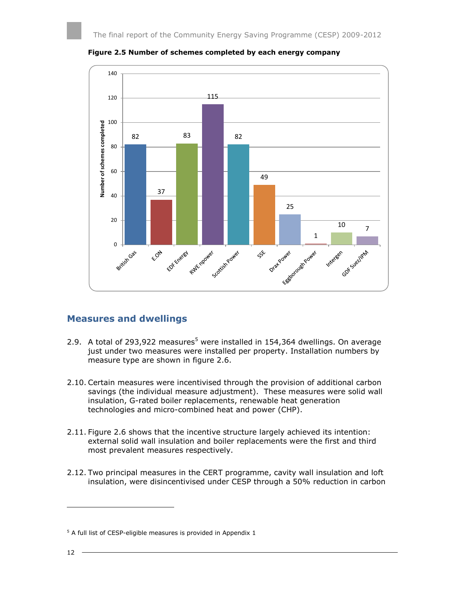

**Figure 2.5 Number of schemes completed by each energy company**

### <span id="page-11-0"></span>**Measures and dwellings**

- 2.9. A total of 293,922 measures<sup>5</sup> were installed in 154,364 dwellings. On average just under two measures were installed per property. Installation numbers by measure type are shown in figure 2.6.
- 2.10. Certain measures were incentivised through the provision of additional carbon savings (the individual measure adjustment). These measures were solid wall insulation, G-rated boiler replacements, renewable heat generation technologies and micro-combined heat and power (CHP).
- 2.11. Figure 2.6 shows that the incentive structure largely achieved its intention: external solid wall insulation and boiler replacements were the first and third most prevalent measures respectively.
- 2.12. Two principal measures in the CERT programme, cavity wall insulation and loft insulation, were disincentivised under CESP through a 50% reduction in carbon

ł

 $5$  A full list of CESP-eligible measures is provided in Appendix 1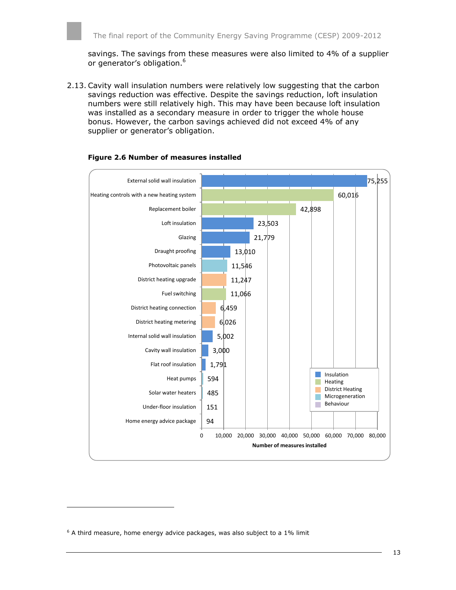savings. The savings from these measures were also limited to 4% of a supplier or generator's obligation.<sup>6</sup>

2.13. Cavity wall insulation numbers were relatively low suggesting that the carbon savings reduction was effective. Despite the savings reduction, loft insulation numbers were still relatively high. This may have been because loft insulation was installed as a secondary measure in order to trigger the whole house bonus. However, the carbon savings achieved did not exceed 4% of any supplier or generator's obligation.



#### **Figure 2.6 Number of measures installed**

ł

 $6$  A third measure, home energy advice packages, was also subject to a 1% limit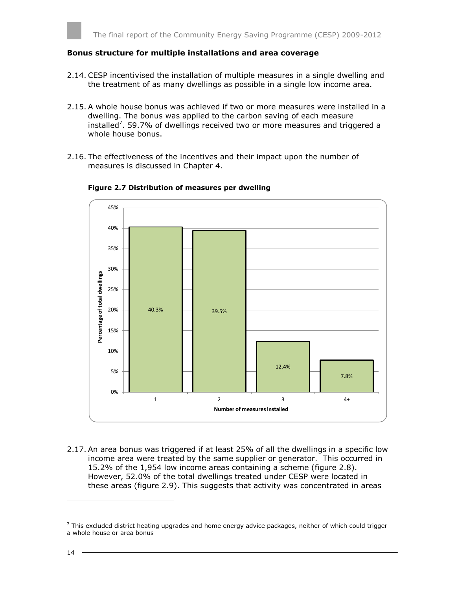#### **Bonus structure for multiple installations and area coverage**

- 2.14. CESP incentivised the installation of multiple measures in a single dwelling and the treatment of as many dwellings as possible in a single low income area.
- 2.15. A whole house bonus was achieved if two or more measures were installed in a dwelling. The bonus was applied to the carbon saving of each measure installed<sup>7</sup>. 59.7% of dwellings received two or more measures and triggered a whole house bonus.
- 2.16. The effectiveness of the incentives and their impact upon the number of measures is discussed in Chapter 4.



#### **Figure 2.7 Distribution of measures per dwelling**

2.17. An area bonus was triggered if at least 25% of all the dwellings in a specific low income area were treated by the same supplier or generator. This occurred in 15.2% of the 1,954 low income areas containing a scheme (figure 2.8). However, 52.0% of the total dwellings treated under CESP were located in these areas (figure 2.9). This suggests that activity was concentrated in areas

l

 $<sup>7</sup>$  This excluded district heating upgrades and home energy advice packages, neither of which could trigger</sup> a whole house or area bonus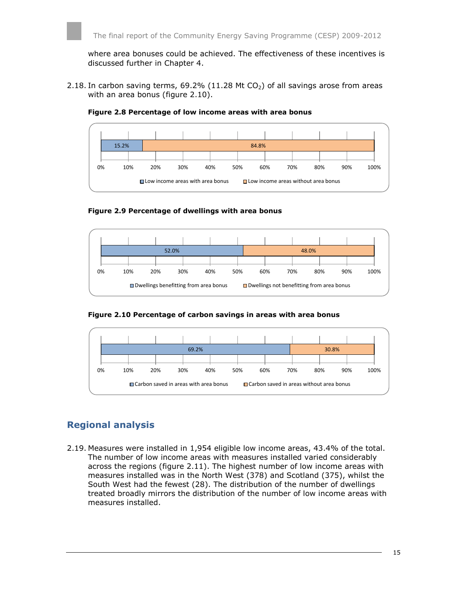where area bonuses could be achieved. The effectiveness of these incentives is discussed further in Chapter 4.

2.18. In carbon saving terms, 69.2% (11.28 Mt  $CO<sub>2</sub>$ ) of all savings arose from areas with an area bonus (figure 2.10).



**Figure 2.8 Percentage of low income areas with area bonus**

**Figure 2.9 Percentage of dwellings with area bonus**



**Figure 2.10 Percentage of carbon savings in areas with area bonus**



## <span id="page-14-0"></span>**Regional analysis**

2.19. Measures were installed in 1,954 eligible low income areas, 43.4% of the total. The number of low income areas with measures installed varied considerably across the regions (figure 2.11). The highest number of low income areas with measures installed was in the North West (378) and Scotland (375), whilst the South West had the fewest (28). The distribution of the number of dwellings treated broadly mirrors the distribution of the number of low income areas with measures installed.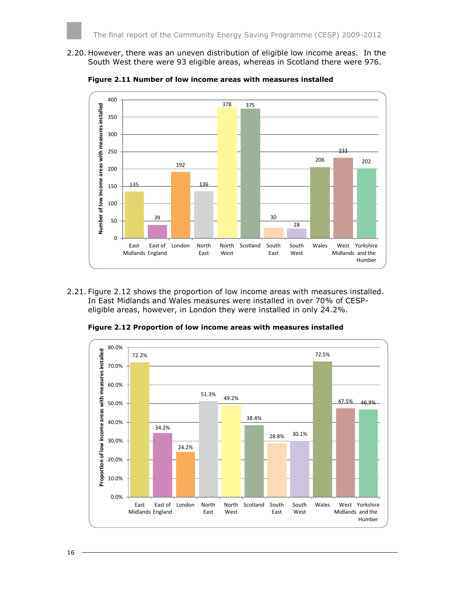2.20. However, there was an uneven distribution of eligible low income areas. In the South West there were 93 eligible areas, whereas in Scotland there were 976.

**Figure 2.11 Number of low income areas with measures installed**



2.21. Figure 2.12 shows the proportion of low income areas with measures installed. In East Midlands and Wales measures were installed in over 70% of CESPeligible areas, however, in London they were installed in only 24.2%.

**Figure 2.12 Proportion of low income areas with measures installed**

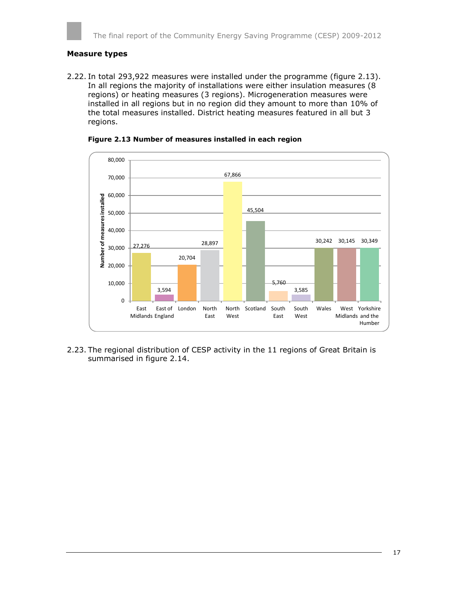#### **Measure types**

2.22. In total 293,922 measures were installed under the programme (figure 2.13). In all regions the majority of installations were either insulation measures (8 regions) or heating measures (3 regions). Microgeneration measures were installed in all regions but in no region did they amount to more than 10% of the total measures installed. District heating measures featured in all but 3 regions.



#### **Figure 2.13 Number of measures installed in each region**

2.23. The regional distribution of CESP activity in the 11 regions of Great Britain is summarised in figure 2.14.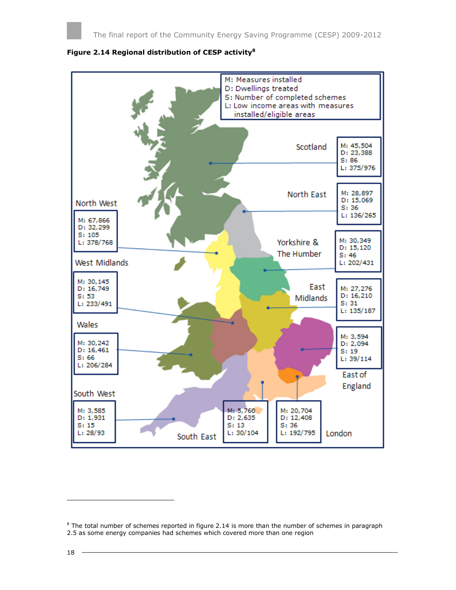

#### **Figure 2.14 Regional distribution of CESP activity<sup>8</sup>**

l

 $8$  The total number of schemes reported in figure 2.14 is more than the number of schemes in paragraph 2.5 as some energy companies had schemes which covered more than one region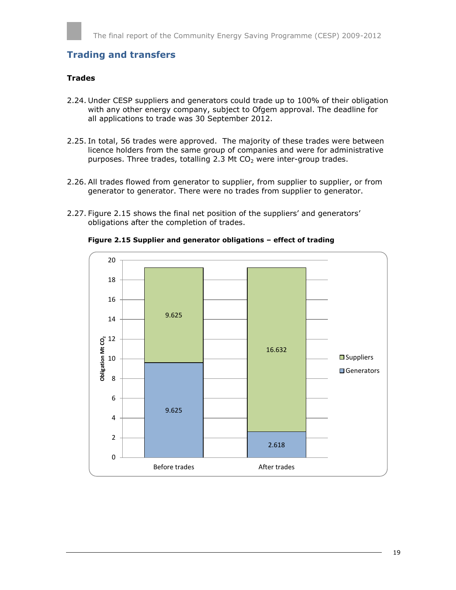## **Trading and transfers**

#### **Trades**

- 2.24. Under CESP suppliers and generators could trade up to 100% of their obligation with any other energy company, subject to Ofgem approval. The deadline for all applications to trade was 30 September 2012.
- 2.25. In total, 56 trades were approved. The majority of these trades were between licence holders from the same group of companies and were for administrative purposes. Three trades, totalling 2.3 Mt  $CO<sub>2</sub>$  were inter-group trades.
- 2.26. All trades flowed from generator to supplier, from supplier to supplier, or from generator to generator. There were no trades from supplier to generator.
- 2.27. Figure 2.15 shows the final net position of the suppliers' and generators' obligations after the completion of trades.



**Figure 2.15 Supplier and generator obligations – effect of trading**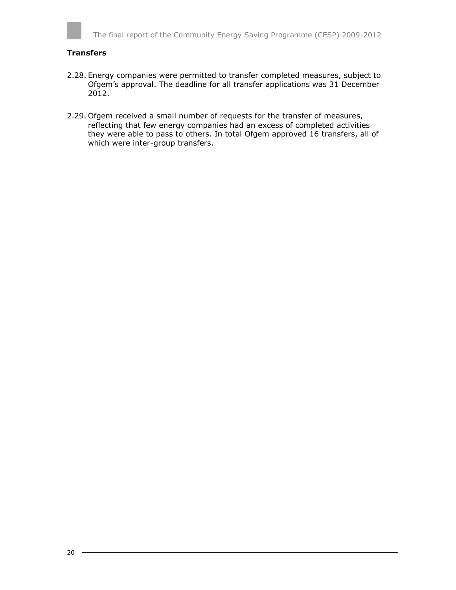

#### **Transfers**

- 2.28. Energy companies were permitted to transfer completed measures, subject to Ofgem's approval. The deadline for all transfer applications was 31 December 2012.
- 2.29. Ofgem received a small number of requests for the transfer of measures, reflecting that few energy companies had an excess of completed activities they were able to pass to others. In total Ofgem approved 16 transfers, all of which were inter-group transfers.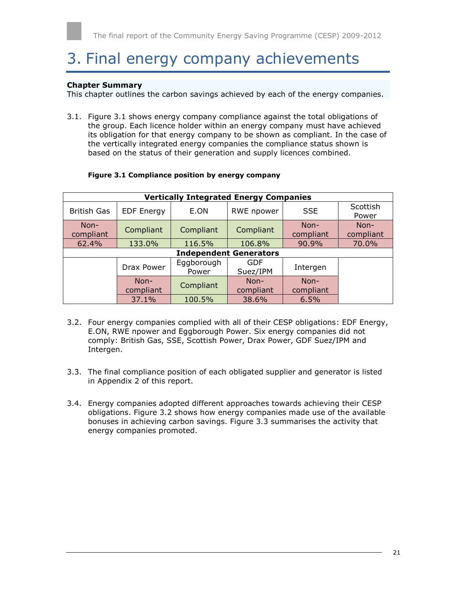# <span id="page-20-0"></span>3. Final energy company achievements

#### **Chapter Summary**

This chapter outlines the carbon savings achieved by each of the energy companies.

3.1. Figure 3.1 shows energy company compliance against the total obligations of the group. Each licence holder within an energy company must have achieved its obligation for that energy company to be shown as compliant. In the case of the vertically integrated energy companies the compliance status shown is based on the status of their generation and supply licences combined.

|                   | <b>Vertically Integrated Energy Companies</b> |                     |                               |                     |                   |
|-------------------|-----------------------------------------------|---------------------|-------------------------------|---------------------|-------------------|
| British Gas       | <b>EDF Energy</b>                             | E.ON                | RWE npower                    | <b>SSE</b>          | Scottish<br>Power |
| Non-<br>compliant | Compliant                                     | Compliant           | Compliant                     | $Non-$<br>compliant | Non-<br>compliant |
| 62.4%             | 133.0%                                        | 116.5%              | 106.8%                        | 90.9%               | 70.0%             |
|                   |                                               |                     | <b>Independent Generators</b> |                     |                   |
|                   | Drax Power                                    | Eggborough<br>Power | GDF<br>Suez/IPM               | Intergen            |                   |
|                   | Non-<br>compliant                             | Compliant           | Non-<br>compliant             | $Non-$<br>compliant |                   |
|                   | 37.1%                                         | 100.5%              | 38.6%                         | 6.5%                |                   |

#### **Figure 3.1 Compliance position by energy company**

- 3.2. Four energy companies complied with all of their CESP obligations: EDF Energy, E.ON, RWE npower and Eggborough Power. Six energy companies did not comply: British Gas, SSE, Scottish Power, Drax Power, GDF Suez/IPM and Intergen.
- 3.3. The final compliance position of each obligated supplier and generator is listed in Appendix 2 of this report.
- 3.4. Energy companies adopted different approaches towards achieving their CESP obligations. Figure 3.2 shows how energy companies made use of the available bonuses in achieving carbon savings. Figure 3.3 summarises the activity that energy companies promoted.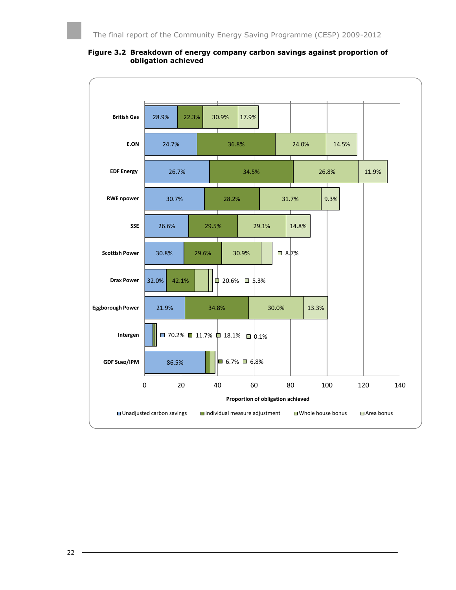

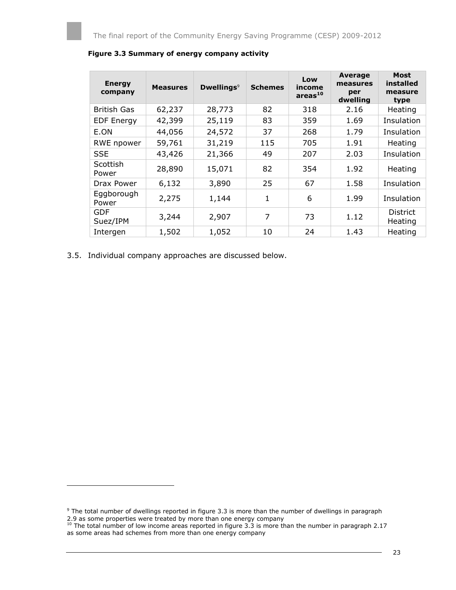| <b>Energy</b><br>company | <b>Measures</b> | Dwellings <sup>9</sup> | <b>Schemes</b> | Low<br>income<br>areas <sup>10</sup> | Average<br>measures<br>per<br>dwelling | <b>Most</b><br>installed<br>measure<br>type |
|--------------------------|-----------------|------------------------|----------------|--------------------------------------|----------------------------------------|---------------------------------------------|
| <b>British Gas</b>       | 62,237          | 28,773                 | 82             | 318                                  | 2.16                                   | Heating                                     |
| <b>EDF Energy</b>        | 42,399          | 25,119                 | 83             | 359                                  | 1.69                                   | Insulation                                  |
| E.ON                     | 44,056          | 24,572                 | 37             | 268                                  | 1.79                                   | Insulation                                  |
| RWE npower               | 59,761          | 31,219                 | 115            | 705                                  | 1.91                                   | Heating                                     |
| <b>SSE</b>               | 43,426          | 21,366                 | 49             | 207                                  | 2.03                                   | Insulation                                  |
| Scottish<br>Power        | 28,890          | 15,071                 | 82             | 354                                  | 1.92                                   | Heating                                     |
| Drax Power               | 6,132           | 3,890                  | 25             | 67                                   | 1.58                                   | Insulation                                  |
| Eggborough<br>Power      | 2,275           | 1,144                  | 1              | 6                                    | 1.99                                   | Insulation                                  |
| GDF<br>Suez/IPM          | 3,244           | 2,907                  | 7              | 73                                   | 1.12                                   | <b>District</b><br>Heating                  |
| Intergen                 | 1,502           | 1,052                  | 10             | 24                                   | 1.43                                   | Heating                                     |

#### **Figure 3.3 Summary of energy company activity**

3.5. Individual company approaches are discussed below.

l

<sup>&</sup>lt;sup>9</sup> The total number of dwellings reported in figure 3.3 is more than the number of dwellings in paragraph 2.9 as some properties were treated by more than one energy company

 $10$  The total number of low income areas reported in figure 3.3 is more than the number in paragraph 2.17 as some areas had schemes from more than one energy company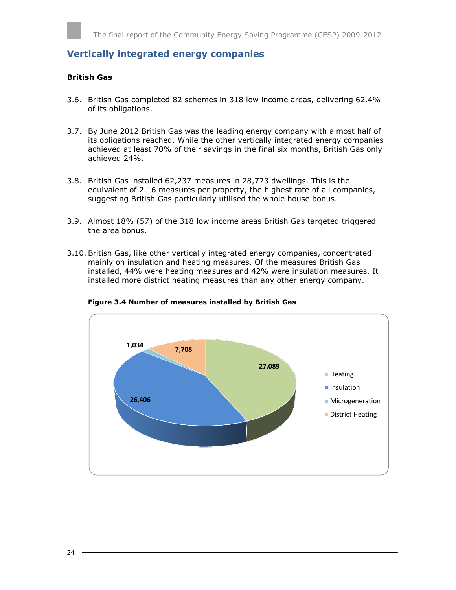<span id="page-23-0"></span>**Vertically integrated energy companies**

#### **British Gas**

- 3.6. British Gas completed 82 schemes in 318 low income areas, delivering 62.4% of its obligations.
- 3.7. By June 2012 British Gas was the leading energy company with almost half of its obligations reached. While the other vertically integrated energy companies achieved at least 70% of their savings in the final six months, British Gas only achieved 24%.
- 3.8. British Gas installed 62,237 measures in 28,773 dwellings. This is the equivalent of 2.16 measures per property, the highest rate of all companies, suggesting British Gas particularly utilised the whole house bonus.
- 3.9. Almost 18% (57) of the 318 low income areas British Gas targeted triggered the area bonus.
- 3.10. British Gas, like other vertically integrated energy companies, concentrated mainly on insulation and heating measures. Of the measures British Gas installed, 44% were heating measures and 42% were insulation measures. It installed more district heating measures than any other energy company.



**Figure 3.4 Number of measures installed by British Gas**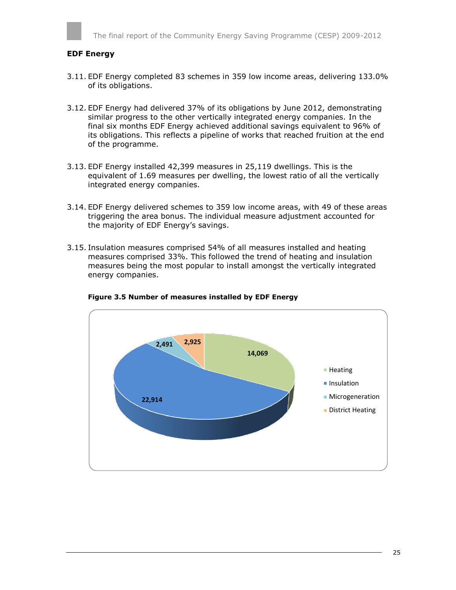#### **EDF Energy**

- 3.11. EDF Energy completed 83 schemes in 359 low income areas, delivering 133.0% of its obligations.
- 3.12. EDF Energy had delivered 37% of its obligations by June 2012, demonstrating similar progress to the other vertically integrated energy companies. In the final six months EDF Energy achieved additional savings equivalent to 96% of its obligations. This reflects a pipeline of works that reached fruition at the end of the programme.
- 3.13. EDF Energy installed 42,399 measures in 25,119 dwellings. This is the equivalent of 1.69 measures per dwelling, the lowest ratio of all the vertically integrated energy companies.
- 3.14. EDF Energy delivered schemes to 359 low income areas, with 49 of these areas triggering the area bonus. The individual measure adjustment accounted for the majority of EDF Energy's savings.
- 3.15. Insulation measures comprised 54% of all measures installed and heating measures comprised 33%. This followed the trend of heating and insulation measures being the most popular to install amongst the vertically integrated energy companies.



**Figure 3.5 Number of measures installed by EDF Energy**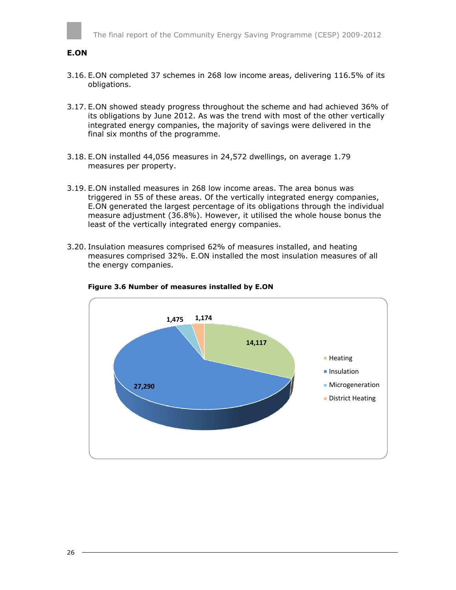

#### **E.ON**

- 3.16. E.ON completed 37 schemes in 268 low income areas, delivering 116.5% of its obligations.
- 3.17. E.ON showed steady progress throughout the scheme and had achieved 36% of its obligations by June 2012. As was the trend with most of the other vertically integrated energy companies, the majority of savings were delivered in the final six months of the programme.
- 3.18. E.ON installed 44,056 measures in 24,572 dwellings, on average 1.79 measures per property.
- 3.19. E.ON installed measures in 268 low income areas. The area bonus was triggered in 55 of these areas. Of the vertically integrated energy companies, E.ON generated the largest percentage of its obligations through the individual measure adjustment (36.8%). However, it utilised the whole house bonus the least of the vertically integrated energy companies.
- 3.20. Insulation measures comprised 62% of measures installed, and heating measures comprised 32%. E.ON installed the most insulation measures of all the energy companies.



#### **Figure 3.6 Number of measures installed by E.ON**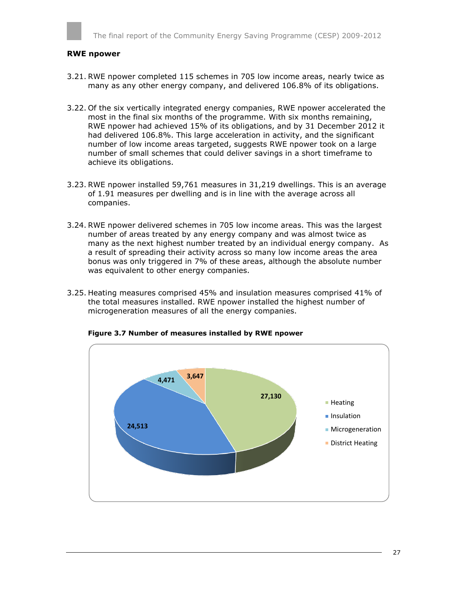#### **RWE npower**

- 3.21. RWE npower completed 115 schemes in 705 low income areas, nearly twice as many as any other energy company, and delivered 106.8% of its obligations.
- 3.22. Of the six vertically integrated energy companies, RWE npower accelerated the most in the final six months of the programme. With six months remaining, RWE npower had achieved 15% of its obligations, and by 31 December 2012 it had delivered 106.8%. This large acceleration in activity, and the significant number of low income areas targeted, suggests RWE npower took on a large number of small schemes that could deliver savings in a short timeframe to achieve its obligations.
- 3.23. RWE npower installed 59,761 measures in 31,219 dwellings. This is an average of 1.91 measures per dwelling and is in line with the average across all companies.
- 3.24. RWE npower delivered schemes in 705 low income areas. This was the largest number of areas treated by any energy company and was almost twice as many as the next highest number treated by an individual energy company. As a result of spreading their activity across so many low income areas the area bonus was only triggered in 7% of these areas, although the absolute number was equivalent to other energy companies.
- 3.25. Heating measures comprised 45% and insulation measures comprised 41% of the total measures installed. RWE npower installed the highest number of microgeneration measures of all the energy companies.



**Figure 3.7 Number of measures installed by RWE npower**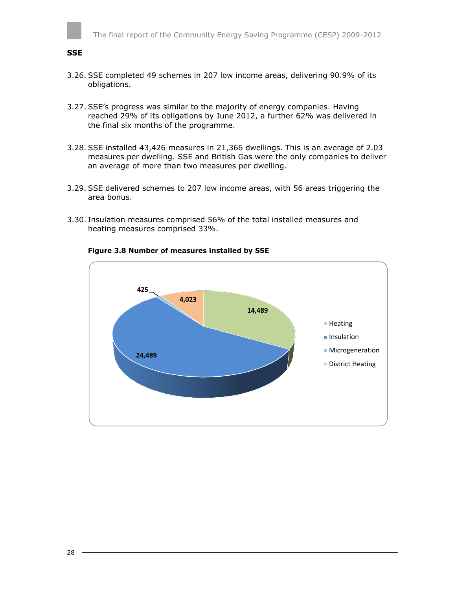

#### **SSE**

- 3.26. SSE completed 49 schemes in 207 low income areas, delivering 90.9% of its obligations.
- 3.27. SSE's progress was similar to the majority of energy companies. Having reached 29% of its obligations by June 2012, a further 62% was delivered in the final six months of the programme.
- 3.28. SSE installed 43,426 measures in 21,366 dwellings. This is an average of 2.03 measures per dwelling. SSE and British Gas were the only companies to deliver an average of more than two measures per dwelling.
- 3.29. SSE delivered schemes to 207 low income areas, with 56 areas triggering the area bonus.
- 3.30. Insulation measures comprised 56% of the total installed measures and heating measures comprised 33%.



#### **Figure 3.8 Number of measures installed by SSE**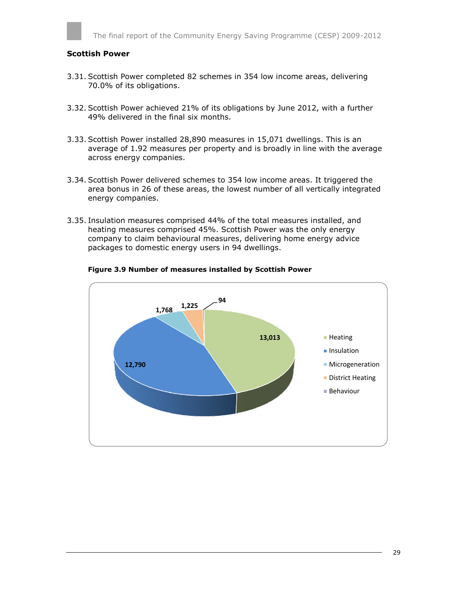#### **Scottish Power**

- 3.31. Scottish Power completed 82 schemes in 354 low income areas, delivering 70.0% of its obligations.
- 3.32. Scottish Power achieved 21% of its obligations by June 2012, with a further 49% delivered in the final six months.
- 3.33. Scottish Power installed 28,890 measures in 15,071 dwellings. This is an average of 1.92 measures per property and is broadly in line with the average across energy companies.
- 3.34. Scottish Power delivered schemes to 354 low income areas. It triggered the area bonus in 26 of these areas, the lowest number of all vertically integrated energy companies.
- 3.35. Insulation measures comprised 44% of the total measures installed, and heating measures comprised 45%. Scottish Power was the only energy company to claim behavioural measures, delivering home energy advice packages to domestic energy users in 94 dwellings.



#### **Figure 3.9 Number of measures installed by Scottish Power**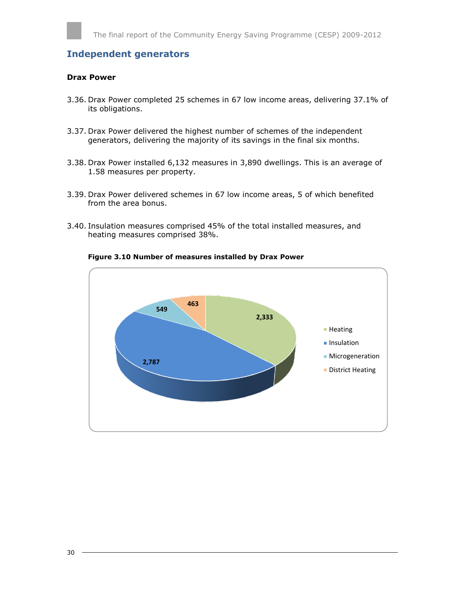### <span id="page-29-0"></span>**Independent generators**

#### **Drax Power**

- 3.36. Drax Power completed 25 schemes in 67 low income areas, delivering 37.1% of its obligations.
- 3.37. Drax Power delivered the highest number of schemes of the independent generators, delivering the majority of its savings in the final six months.
- 3.38. Drax Power installed 6,132 measures in 3,890 dwellings. This is an average of 1.58 measures per property.
- 3.39. Drax Power delivered schemes in 67 low income areas, 5 of which benefited from the area bonus.
- 3.40. Insulation measures comprised 45% of the total installed measures, and heating measures comprised 38%.



#### **Figure 3.10 Number of measures installed by Drax Power**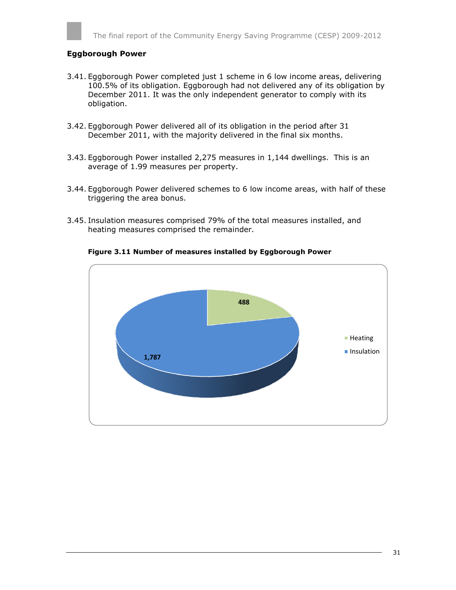#### **Eggborough Power**

- 3.41. Eggborough Power completed just 1 scheme in 6 low income areas, delivering 100.5% of its obligation. Eggborough had not delivered any of its obligation by December 2011. It was the only independent generator to comply with its obligation.
- 3.42. Eggborough Power delivered all of its obligation in the period after 31 December 2011, with the majority delivered in the final six months.
- 3.43. Eggborough Power installed 2,275 measures in 1,144 dwellings. This is an average of 1.99 measures per property.
- 3.44. Eggborough Power delivered schemes to 6 low income areas, with half of these triggering the area bonus.
- 3.45. Insulation measures comprised 79% of the total measures installed, and heating measures comprised the remainder.



#### **Figure 3.11 Number of measures installed by Eggborough Power**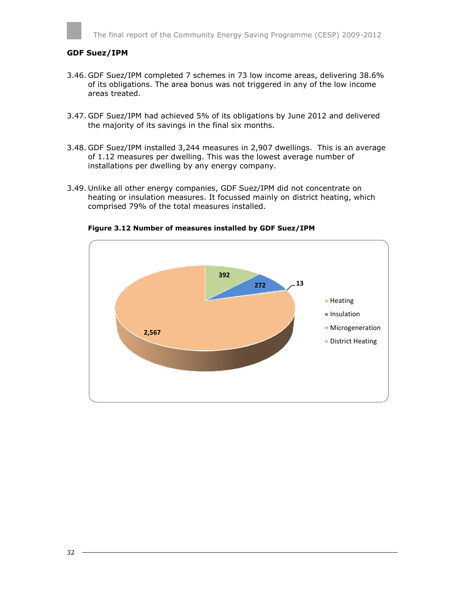#### **GDF Suez/IPM**

- 3.46. GDF Suez/IPM completed 7 schemes in 73 low income areas, delivering 38.6% of its obligations. The area bonus was not triggered in any of the low income areas treated.
- 3.47. GDF Suez/IPM had achieved 5% of its obligations by June 2012 and delivered the majority of its savings in the final six months.
- 3.48. GDF Suez/IPM installed 3,244 measures in 2,907 dwellings. This is an average of 1.12 measures per dwelling. This was the lowest average number of installations per dwelling by any energy company.
- 3.49. Unlike all other energy companies, GDF Suez/IPM did not concentrate on heating or insulation measures. It focussed mainly on district heating, which comprised 79% of the total measures installed.



**Figure 3.12 Number of measures installed by GDF Suez/IPM**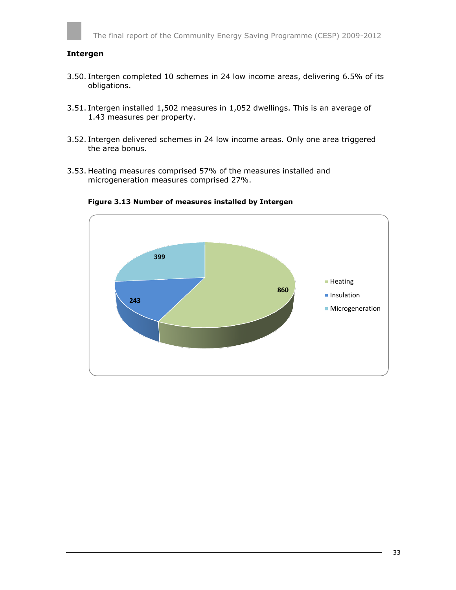#### **Intergen**

- 3.50. Intergen completed 10 schemes in 24 low income areas, delivering 6.5% of its obligations.
- 3.51. Intergen installed 1,502 measures in 1,052 dwellings. This is an average of 1.43 measures per property.
- 3.52. Intergen delivered schemes in 24 low income areas. Only one area triggered the area bonus.
- 3.53. Heating measures comprised 57% of the measures installed and microgeneration measures comprised 27%.



**Figure 3.13 Number of measures installed by Intergen**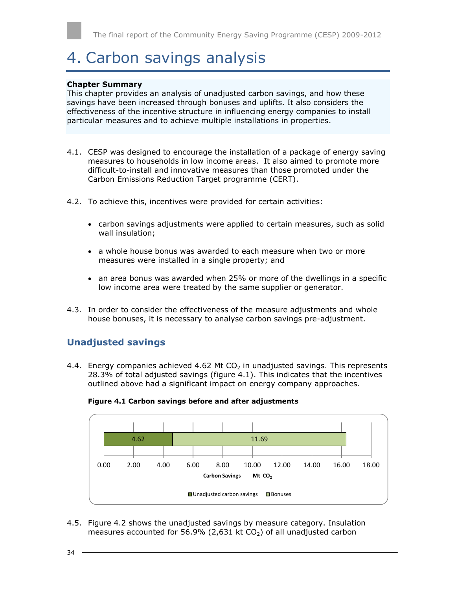# <span id="page-33-0"></span>4. Carbon savings analysis

#### **Chapter Summary**

This chapter provides an analysis of unadjusted carbon savings, and how these savings have been increased through bonuses and uplifts. It also considers the effectiveness of the incentive structure in influencing energy companies to install particular measures and to achieve multiple installations in properties.

- 4.1. CESP was designed to encourage the installation of a package of energy saving measures to households in low income areas. It also aimed to promote more difficult-to-install and innovative measures than those promoted under the Carbon Emissions Reduction Target programme (CERT).
- 4.2. To achieve this, incentives were provided for certain activities:
	- carbon savings adjustments were applied to certain measures, such as solid wall insulation;
	- a whole house bonus was awarded to each measure when two or more measures were installed in a single property; and
	- an area bonus was awarded when 25% or more of the dwellings in a specific low income area were treated by the same supplier or generator.
- 4.3. In order to consider the effectiveness of the measure adjustments and whole house bonuses, it is necessary to analyse carbon savings pre-adjustment.

### <span id="page-33-1"></span>**Unadjusted savings**

4.4. Energy companies achieved 4.62 Mt  $CO<sub>2</sub>$  in unadjusted savings. This represents 28.3% of total adjusted savings (figure 4.1). This indicates that the incentives outlined above had a significant impact on energy company approaches.



#### **Figure 4.1 Carbon savings before and after adjustments**

4.5. Figure 4.2 shows the unadjusted savings by measure category. Insulation measures accounted for 56.9% (2,631 kt  $CO<sub>2</sub>$ ) of all unadjusted carbon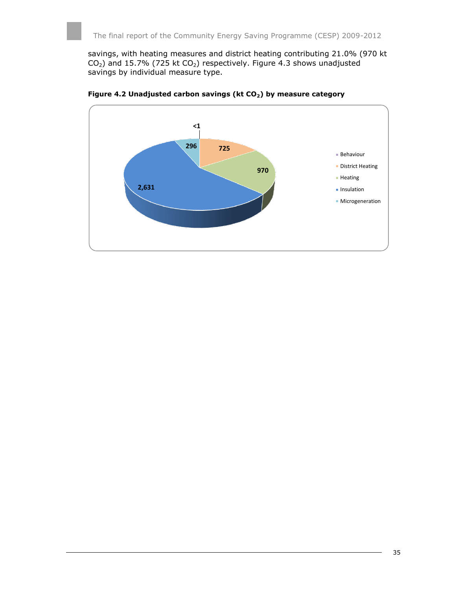savings, with heating measures and district heating contributing 21.0% (970 kt  $CO<sub>2</sub>$ ) and 15.7% (725 kt  $CO<sub>2</sub>$ ) respectively. Figure 4.3 shows unadjusted savings by individual measure type.



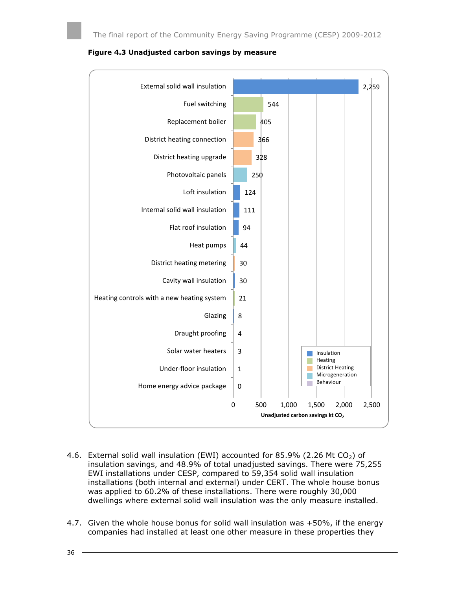



- 4.6. External solid wall insulation (EWI) accounted for 85.9% (2.26 Mt  $CO<sub>2</sub>$ ) of insulation savings, and 48.9% of total unadjusted savings. There were 75,255 EWI installations under CESP, compared to 59,354 solid wall insulation installations (both internal and external) under CERT. The whole house bonus was applied to 60.2% of these installations. There were roughly 30,000 dwellings where external solid wall insulation was the only measure installed.
- 4.7. Given the whole house bonus for solid wall insulation was +50%, if the energy companies had installed at least one other measure in these properties they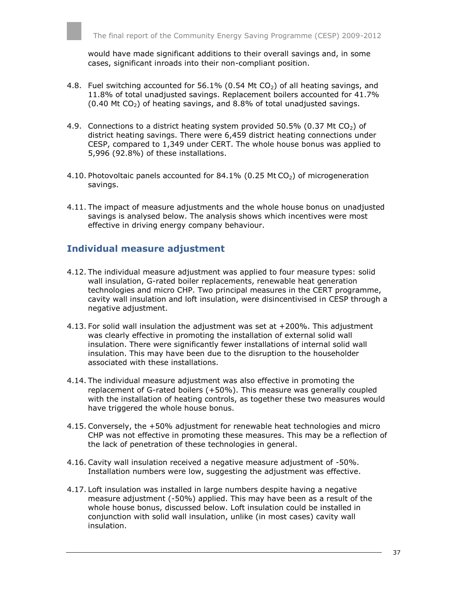would have made significant additions to their overall savings and, in some cases, significant inroads into their non-compliant position.

- 4.8. Fuel switching accounted for 56.1% (0.54 Mt  $CO<sub>2</sub>$ ) of all heating savings, and 11.8% of total unadjusted savings. Replacement boilers accounted for 41.7%  $(0.40$  Mt CO<sub>2</sub>) of heating savings, and 8.8% of total unadjusted savings.
- 4.9. Connections to a district heating system provided 50.5% (0.37 Mt  $CO<sub>2</sub>$ ) of district heating savings. There were 6,459 district heating connections under CESP, compared to 1,349 under CERT. The whole house bonus was applied to 5,996 (92.8%) of these installations.
- 4.10. Photovoltaic panels accounted for  $84.1\%$  (0.25 Mt CO<sub>2</sub>) of microgeneration savings.
- 4.11. The impact of measure adjustments and the whole house bonus on unadjusted savings is analysed below. The analysis shows which incentives were most effective in driving energy company behaviour.

### <span id="page-36-0"></span>**Individual measure adjustment**

- 4.12. The individual measure adjustment was applied to four measure types: solid wall insulation, G-rated boiler replacements, renewable heat generation technologies and micro CHP. Two principal measures in the CERT programme, cavity wall insulation and loft insulation, were disincentivised in CESP through a negative adjustment.
- 4.13. For solid wall insulation the adjustment was set at +200%. This adjustment was clearly effective in promoting the installation of external solid wall insulation. There were significantly fewer installations of internal solid wall insulation. This may have been due to the disruption to the householder associated with these installations.
- 4.14. The individual measure adjustment was also effective in promoting the replacement of G-rated boilers (+50%). This measure was generally coupled with the installation of heating controls, as together these two measures would have triggered the whole house bonus.
- 4.15. Conversely, the +50% adjustment for renewable heat technologies and micro CHP was not effective in promoting these measures. This may be a reflection of the lack of penetration of these technologies in general.
- 4.16. Cavity wall insulation received a negative measure adjustment of -50%. Installation numbers were low, suggesting the adjustment was effective.
- 4.17. Loft insulation was installed in large numbers despite having a negative measure adjustment (-50%) applied. This may have been as a result of the whole house bonus, discussed below. Loft insulation could be installed in conjunction with solid wall insulation, unlike (in most cases) cavity wall insulation.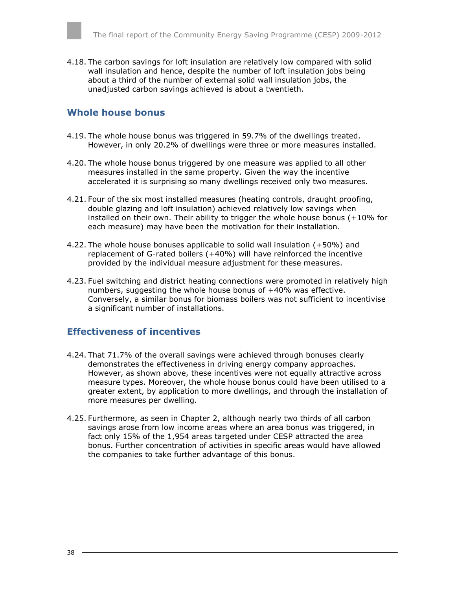4.18. The carbon savings for loft insulation are relatively low compared with solid wall insulation and hence, despite the number of loft insulation jobs being about a third of the number of external solid wall insulation jobs, the unadjusted carbon savings achieved is about a twentieth.

#### <span id="page-37-0"></span>**Whole house bonus**

- 4.19. The whole house bonus was triggered in 59.7% of the dwellings treated. However, in only 20.2% of dwellings were three or more measures installed.
- 4.20. The whole house bonus triggered by one measure was applied to all other measures installed in the same property. Given the way the incentive accelerated it is surprising so many dwellings received only two measures.
- 4.21. Four of the six most installed measures (heating controls, draught proofing, double glazing and loft insulation) achieved relatively low savings when installed on their own. Their ability to trigger the whole house bonus (+10% for each measure) may have been the motivation for their installation.
- 4.22. The whole house bonuses applicable to solid wall insulation (+50%) and replacement of G-rated boilers (+40%) will have reinforced the incentive provided by the individual measure adjustment for these measures.
- 4.23. Fuel switching and district heating connections were promoted in relatively high numbers, suggesting the whole house bonus of +40% was effective. Conversely, a similar bonus for biomass boilers was not sufficient to incentivise a significant number of installations.

### <span id="page-37-1"></span>**Effectiveness of incentives**

- 4.24. That 71.7% of the overall savings were achieved through bonuses clearly demonstrates the effectiveness in driving energy company approaches. However, as shown above, these incentives were not equally attractive across measure types. Moreover, the whole house bonus could have been utilised to a greater extent, by application to more dwellings, and through the installation of more measures per dwelling.
- 4.25. Furthermore, as seen in Chapter 2, although nearly two thirds of all carbon savings arose from low income areas where an area bonus was triggered, in fact only 15% of the 1,954 areas targeted under CESP attracted the area bonus. Further concentration of activities in specific areas would have allowed the companies to take further advantage of this bonus.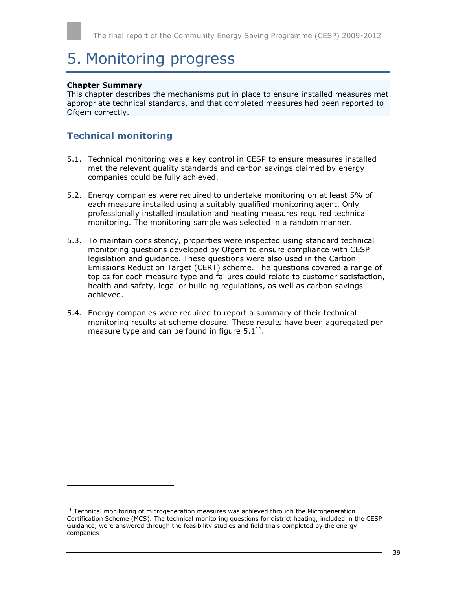# <span id="page-38-0"></span>5. Monitoring progress

#### **Chapter Summary**

l

This chapter describes the mechanisms put in place to ensure installed measures met appropriate technical standards, and that completed measures had been reported to Ofgem correctly.

### <span id="page-38-1"></span>**Technical monitoring**

- 5.1. Technical monitoring was a key control in CESP to ensure measures installed met the relevant quality standards and carbon savings claimed by energy companies could be fully achieved.
- 5.2. Energy companies were required to undertake monitoring on at least 5% of each measure installed using a suitably qualified monitoring agent. Only professionally installed insulation and heating measures required technical monitoring. The monitoring sample was selected in a random manner.
- 5.3. To maintain consistency, properties were inspected using standard technical monitoring questions developed by Ofgem to ensure compliance with CESP legislation and guidance. These questions were also used in the Carbon Emissions Reduction Target (CERT) scheme. The questions covered a range of topics for each measure type and failures could relate to customer satisfaction, health and safety, legal or building regulations, as well as carbon savings achieved.
- 5.4. Energy companies were required to report a summary of their technical monitoring results at scheme closure. These results have been aggregated per measure type and can be found in figure  $5.1^{11}$ .

 $11$  Technical monitoring of microgeneration measures was achieved through the Microgeneration Certification Scheme (MCS). The technical monitoring questions for district heating, included in the CESP Guidance, were answered through the feasibility studies and field trials completed by the energy companies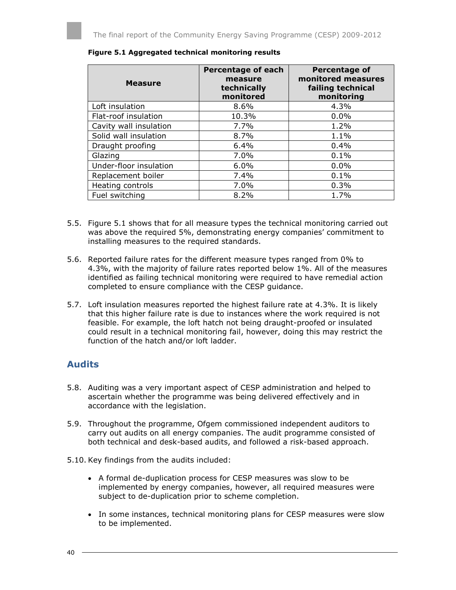| <b>Measure</b>         | <b>Percentage of each</b><br>measure<br>technically<br>monitored | Percentage of<br>monitored measures<br>failing technical<br>monitoring |
|------------------------|------------------------------------------------------------------|------------------------------------------------------------------------|
| Loft insulation        | $8.6\%$                                                          | $4.3\%$                                                                |
| Flat-roof insulation   | 10.3%                                                            | $0.0\%$                                                                |
| Cavity wall insulation | 7.7%                                                             | 1.2%                                                                   |
| Solid wall insulation  | $8.7\%$                                                          | 1.1%                                                                   |
| Draught proofing       | 6.4%                                                             | 0.4%                                                                   |
| Glazing                | 7.0%                                                             | 0.1%                                                                   |
| Under-floor insulation | $6.0\%$                                                          | $0.0\%$                                                                |
| Replacement boiler     | 7.4%                                                             | 0.1%                                                                   |
| Heating controls       | 7.0%                                                             | 0.3%                                                                   |
| Fuel switching         | 8.2%                                                             | 1.7%                                                                   |

#### **Figure 5.1 Aggregated technical monitoring results**

- 5.5. Figure 5.1 shows that for all measure types the technical monitoring carried out was above the required 5%, demonstrating energy companies' commitment to installing measures to the required standards.
- 5.6. Reported failure rates for the different measure types ranged from 0% to 4.3%, with the majority of failure rates reported below 1%. All of the measures identified as failing technical monitoring were required to have remedial action completed to ensure compliance with the CESP guidance.
- 5.7. Loft insulation measures reported the highest failure rate at 4.3%. It is likely that this higher failure rate is due to instances where the work required is not feasible. For example, the loft hatch not being draught-proofed or insulated could result in a technical monitoring fail, however, doing this may restrict the function of the hatch and/or loft ladder.

### <span id="page-39-0"></span>**Audits**

- 5.8. Auditing was a very important aspect of CESP administration and helped to ascertain whether the programme was being delivered effectively and in accordance with the legislation.
- 5.9. Throughout the programme, Ofgem commissioned independent auditors to carry out audits on all energy companies. The audit programme consisted of both technical and desk-based audits, and followed a risk-based approach.
- 5.10. Key findings from the audits included:
	- A formal de-duplication process for CESP measures was slow to be implemented by energy companies, however, all required measures were subject to de-duplication prior to scheme completion.
	- In some instances, technical monitoring plans for CESP measures were slow to be implemented.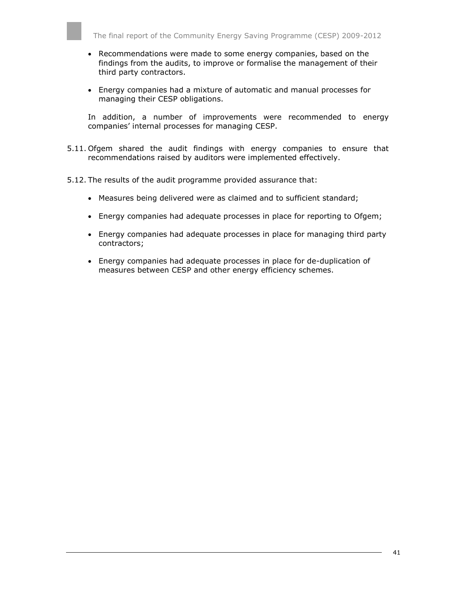- Recommendations were made to some energy companies, based on the findings from the audits, to improve or formalise the management of their third party contractors.
- Energy companies had a mixture of automatic and manual processes for managing their CESP obligations.

In addition, a number of improvements were recommended to energy companies' internal processes for managing CESP.

- 5.11. Ofgem shared the audit findings with energy companies to ensure that recommendations raised by auditors were implemented effectively.
- 5.12. The results of the audit programme provided assurance that:
	- Measures being delivered were as claimed and to sufficient standard;
	- Energy companies had adequate processes in place for reporting to Ofgem;
	- Energy companies had adequate processes in place for managing third party contractors;
	- Energy companies had adequate processes in place for de-duplication of measures between CESP and other energy efficiency schemes.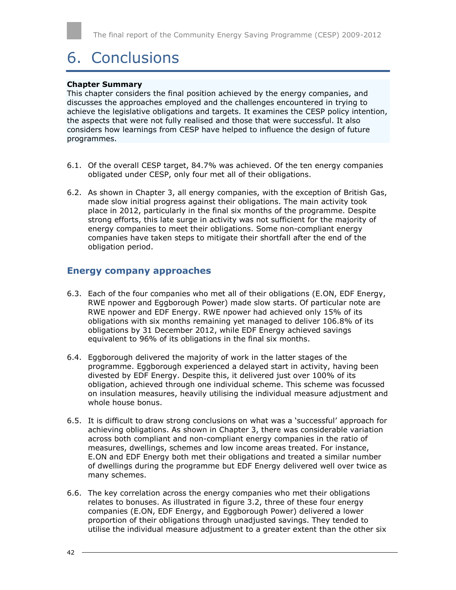# <span id="page-41-0"></span>6. Conclusions

#### **Chapter Summary**

This chapter considers the final position achieved by the energy companies, and discusses the approaches employed and the challenges encountered in trying to achieve the legislative obligations and targets. It examines the CESP policy intention, the aspects that were not fully realised and those that were successful. It also considers how learnings from CESP have helped to influence the design of future programmes.

- 6.1. Of the overall CESP target, 84.7% was achieved. Of the ten energy companies obligated under CESP, only four met all of their obligations.
- 6.2. As shown in Chapter 3, all energy companies, with the exception of British Gas, made slow initial progress against their obligations. The main activity took place in 2012, particularly in the final six months of the programme. Despite strong efforts, this late surge in activity was not sufficient for the majority of energy companies to meet their obligations. Some non-compliant energy companies have taken steps to mitigate their shortfall after the end of the obligation period.

#### <span id="page-41-1"></span>**Energy company approaches**

- 6.3. Each of the four companies who met all of their obligations (E.ON, EDF Energy, RWE npower and Eggborough Power) made slow starts. Of particular note are RWE npower and EDF Energy. RWE npower had achieved only 15% of its obligations with six months remaining yet managed to deliver 106.8% of its obligations by 31 December 2012, while EDF Energy achieved savings equivalent to 96% of its obligations in the final six months.
- 6.4. Eggborough delivered the majority of work in the latter stages of the programme. Eggborough experienced a delayed start in activity, having been divested by EDF Energy. Despite this, it delivered just over 100% of its obligation, achieved through one individual scheme. This scheme was focussed on insulation measures, heavily utilising the individual measure adjustment and whole house bonus.
- 6.5. It is difficult to draw strong conclusions on what was a 'successful' approach for achieving obligations. As shown in Chapter 3, there was considerable variation across both compliant and non-compliant energy companies in the ratio of measures, dwellings, schemes and low income areas treated. For instance, E.ON and EDF Energy both met their obligations and treated a similar number of dwellings during the programme but EDF Energy delivered well over twice as many schemes.
- 6.6. The key correlation across the energy companies who met their obligations relates to bonuses. As illustrated in figure 3.2, three of these four energy companies (E.ON, EDF Energy, and Eggborough Power) delivered a lower proportion of their obligations through unadjusted savings. They tended to utilise the individual measure adjustment to a greater extent than the other six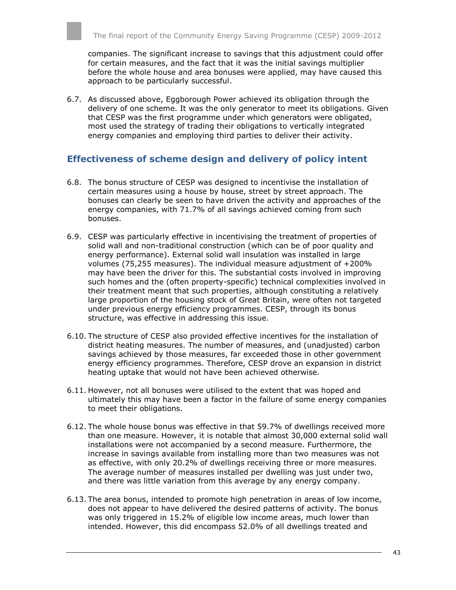companies. The significant increase to savings that this adjustment could offer for certain measures, and the fact that it was the initial savings multiplier before the whole house and area bonuses were applied, may have caused this approach to be particularly successful.

6.7. As discussed above, Eggborough Power achieved its obligation through the delivery of one scheme. It was the only generator to meet its obligations. Given that CESP was the first programme under which generators were obligated, most used the strategy of trading their obligations to vertically integrated energy companies and employing third parties to deliver their activity.

### <span id="page-42-0"></span>**Effectiveness of scheme design and delivery of policy intent**

- 6.8. The bonus structure of CESP was designed to incentivise the installation of certain measures using a house by house, street by street approach. The bonuses can clearly be seen to have driven the activity and approaches of the energy companies, with 71.7% of all savings achieved coming from such bonuses.
- 6.9. CESP was particularly effective in incentivising the treatment of properties of solid wall and non-traditional construction (which can be of poor quality and energy performance). External solid wall insulation was installed in large volumes (75,255 measures). The individual measure adjustment of +200% may have been the driver for this. The substantial costs involved in improving such homes and the (often property-specific) technical complexities involved in their treatment meant that such properties, although constituting a relatively large proportion of the housing stock of Great Britain, were often not targeted under previous energy efficiency programmes. CESP, through its bonus structure, was effective in addressing this issue.
- 6.10. The structure of CESP also provided effective incentives for the installation of district heating measures. The number of measures, and (unadjusted) carbon savings achieved by those measures, far exceeded those in other government energy efficiency programmes. Therefore, CESP drove an expansion in district heating uptake that would not have been achieved otherwise.
- 6.11. However, not all bonuses were utilised to the extent that was hoped and ultimately this may have been a factor in the failure of some energy companies to meet their obligations.
- 6.12. The whole house bonus was effective in that 59.7% of dwellings received more than one measure. However, it is notable that almost 30,000 external solid wall installations were not accompanied by a second measure. Furthermore, the increase in savings available from installing more than two measures was not as effective, with only 20.2% of dwellings receiving three or more measures. The average number of measures installed per dwelling was just under two, and there was little variation from this average by any energy company.
- 6.13. The area bonus, intended to promote high penetration in areas of low income, does not appear to have delivered the desired patterns of activity. The bonus was only triggered in 15.2% of eligible low income areas, much lower than intended. However, this did encompass 52.0% of all dwellings treated and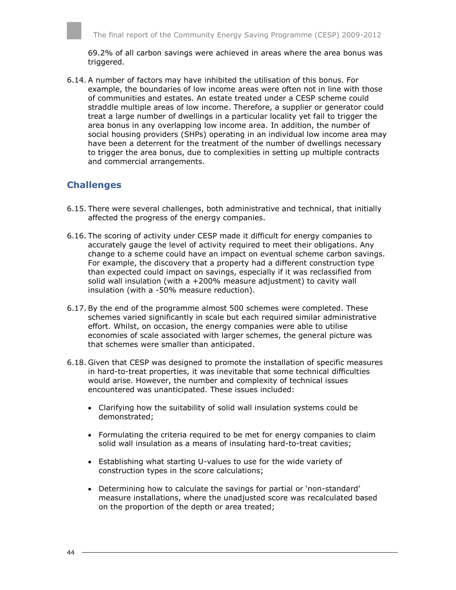69.2% of all carbon savings were achieved in areas where the area bonus was triggered.

6.14. A number of factors may have inhibited the utilisation of this bonus. For example, the boundaries of low income areas were often not in line with those of communities and estates. An estate treated under a CESP scheme could straddle multiple areas of low income. Therefore, a supplier or generator could treat a large number of dwellings in a particular locality yet fail to trigger the area bonus in any overlapping low income area. In addition, the number of social housing providers (SHPs) operating in an individual low income area may have been a deterrent for the treatment of the number of dwellings necessary to trigger the area bonus, due to complexities in setting up multiple contracts and commercial arrangements.

### <span id="page-43-0"></span>**Challenges**

- 6.15. There were several challenges, both administrative and technical, that initially affected the progress of the energy companies.
- 6.16. The scoring of activity under CESP made it difficult for energy companies to accurately gauge the level of activity required to meet their obligations. Any change to a scheme could have an impact on eventual scheme carbon savings. For example, the discovery that a property had a different construction type than expected could impact on savings, especially if it was reclassified from solid wall insulation (with a +200% measure adjustment) to cavity wall insulation (with a -50% measure reduction).
- 6.17. By the end of the programme almost 500 schemes were completed. These schemes varied significantly in scale but each required similar administrative effort. Whilst, on occasion, the energy companies were able to utilise economies of scale associated with larger schemes, the general picture was that schemes were smaller than anticipated.
- 6.18. Given that CESP was designed to promote the installation of specific measures in hard-to-treat properties, it was inevitable that some technical difficulties would arise. However, the number and complexity of technical issues encountered was unanticipated. These issues included:
	- Clarifying how the suitability of solid wall insulation systems could be demonstrated;
	- Formulating the criteria required to be met for energy companies to claim solid wall insulation as a means of insulating hard-to-treat cavities;
	- Establishing what starting U-values to use for the wide variety of construction types in the score calculations;
	- Determining how to calculate the savings for partial or 'non-standard' measure installations, where the unadjusted score was recalculated based on the proportion of the depth or area treated;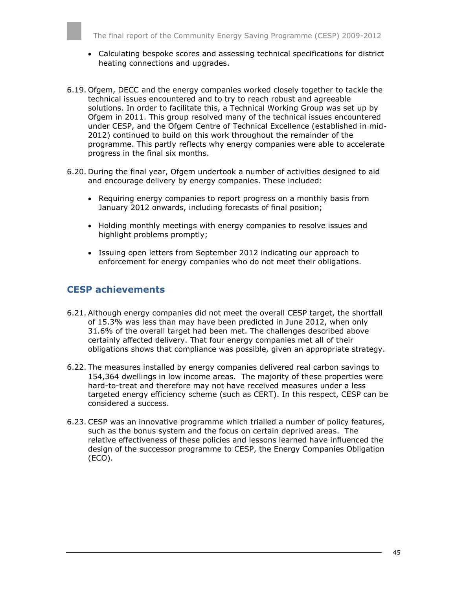- Calculating bespoke scores and assessing technical specifications for district heating connections and upgrades.
- 6.19. Ofgem, DECC and the energy companies worked closely together to tackle the technical issues encountered and to try to reach robust and agreeable solutions. In order to facilitate this, a Technical Working Group was set up by Ofgem in 2011. This group resolved many of the technical issues encountered under CESP, and the Ofgem Centre of Technical Excellence (established in mid-2012) continued to build on this work throughout the remainder of the programme. This partly reflects why energy companies were able to accelerate progress in the final six months.
- 6.20. During the final year, Ofgem undertook a number of activities designed to aid and encourage delivery by energy companies. These included:
	- Requiring energy companies to report progress on a monthly basis from January 2012 onwards, including forecasts of final position;
	- Holding monthly meetings with energy companies to resolve issues and highlight problems promptly;
	- Issuing open letters from September 2012 indicating our approach to enforcement for energy companies who do not meet their obligations.

### <span id="page-44-0"></span>**CESP achievements**

- 6.21. Although energy companies did not meet the overall CESP target, the shortfall of 15.3% was less than may have been predicted in June 2012, when only 31.6% of the overall target had been met. The challenges described above certainly affected delivery. That four energy companies met all of their obligations shows that compliance was possible, given an appropriate strategy.
- 6.22. The measures installed by energy companies delivered real carbon savings to 154,364 dwellings in low income areas. The majority of these properties were hard-to-treat and therefore may not have received measures under a less targeted energy efficiency scheme (such as CERT). In this respect, CESP can be considered a success.
- 6.23. CESP was an innovative programme which trialled a number of policy features, such as the bonus system and the focus on certain deprived areas. The relative effectiveness of these policies and lessons learned have influenced the design of the successor programme to CESP, the Energy Companies Obligation (ECO).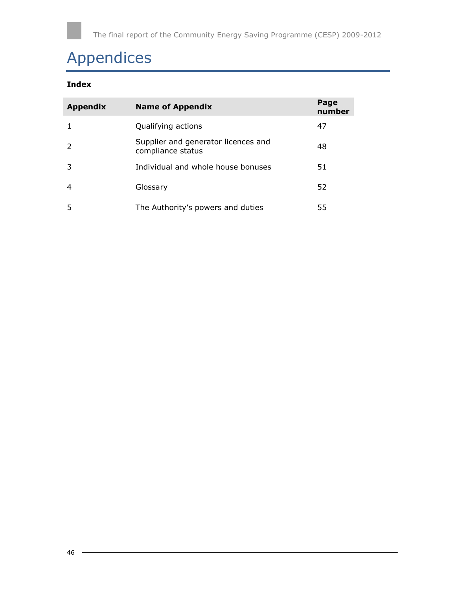# <span id="page-45-0"></span>Appendices

### **Index**

| <b>Appendix</b> | <b>Name of Appendix</b>                                  | Page<br>number |
|-----------------|----------------------------------------------------------|----------------|
|                 | Qualifying actions                                       | 47             |
| $\overline{2}$  | Supplier and generator licences and<br>compliance status | 48             |
| 3               | Individual and whole house bonuses                       | 51             |
| $\overline{4}$  | Glossary                                                 | 52             |
| 5               | The Authority's powers and duties                        | 55             |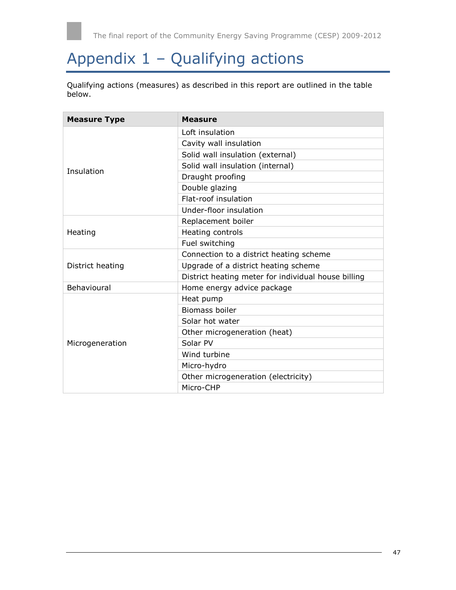

# <span id="page-46-0"></span>Appendix 1 – Qualifying actions

Qualifying actions (measures) as described in this report are outlined in the table below.

| <b>Measure Type</b> | <b>Measure</b>                                      |  |  |
|---------------------|-----------------------------------------------------|--|--|
|                     | Loft insulation                                     |  |  |
|                     | Cavity wall insulation                              |  |  |
|                     | Solid wall insulation (external)                    |  |  |
|                     | Solid wall insulation (internal)                    |  |  |
| Insulation          | Draught proofing                                    |  |  |
|                     | Double glazing                                      |  |  |
|                     | Flat-roof insulation                                |  |  |
|                     | Under-floor insulation                              |  |  |
|                     | Replacement boiler                                  |  |  |
| Heating             | Heating controls                                    |  |  |
|                     | Fuel switching                                      |  |  |
|                     | Connection to a district heating scheme             |  |  |
| District heating    | Upgrade of a district heating scheme                |  |  |
|                     | District heating meter for individual house billing |  |  |
| Behavioural         | Home energy advice package                          |  |  |
|                     | Heat pump                                           |  |  |
|                     | <b>Biomass boiler</b>                               |  |  |
|                     | Solar hot water                                     |  |  |
|                     | Other microgeneration (heat)                        |  |  |
| Microgeneration     | Solar PV                                            |  |  |
|                     | Wind turbine                                        |  |  |
|                     | Micro-hydro                                         |  |  |
|                     | Other microgeneration (electricity)                 |  |  |
|                     | Micro-CHP                                           |  |  |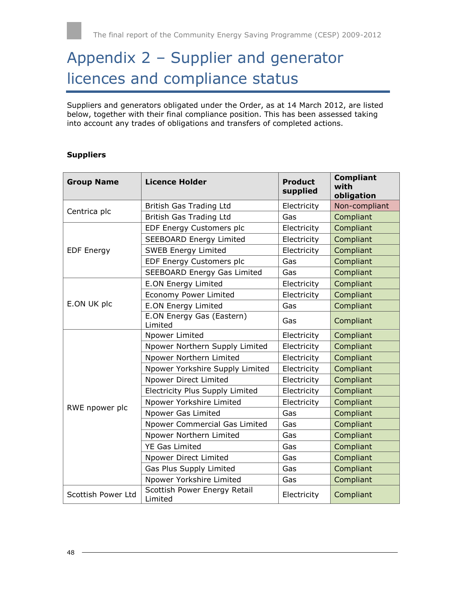# <span id="page-47-0"></span>Appendix 2 – Supplier and generator licences and compliance status

Suppliers and generators obligated under the Order, as at 14 March 2012, are listed below, together with their final compliance position. This has been assessed taking into account any trades of obligations and transfers of completed actions.

#### **Suppliers**

| <b>Group Name</b>  | <b>Licence Holder</b>                   | <b>Product</b><br>supplied | <b>Compliant</b><br>with<br>obligation |
|--------------------|-----------------------------------------|----------------------------|----------------------------------------|
|                    | British Gas Trading Ltd                 | Electricity                | Non-compliant                          |
| Centrica plc       | British Gas Trading Ltd                 | Gas                        | Compliant                              |
|                    | EDF Energy Customers plc                | Electricity                | Compliant                              |
|                    | <b>SEEBOARD Energy Limited</b>          | Electricity                | Compliant                              |
| <b>EDF Energy</b>  | <b>SWEB Energy Limited</b>              | Electricity                | Compliant                              |
|                    | EDF Energy Customers plc                | Gas                        | Compliant                              |
|                    | <b>SEEBOARD Energy Gas Limited</b>      | Gas                        | Compliant                              |
|                    | <b>E.ON Energy Limited</b>              | Electricity                | Compliant                              |
|                    | <b>Economy Power Limited</b>            | Electricity                | Compliant                              |
| E.ON UK plc        | <b>E.ON Energy Limited</b>              | Gas                        | Compliant                              |
|                    | E.ON Energy Gas (Eastern)<br>Limited    | Gas                        | Compliant                              |
|                    | Npower Limited                          | Electricity                | Compliant                              |
|                    | Npower Northern Supply Limited          | Electricity                | Compliant                              |
|                    | Npower Northern Limited                 | Electricity                | Compliant                              |
|                    | Npower Yorkshire Supply Limited         | Electricity                | Compliant                              |
|                    | Npower Direct Limited                   | Electricity                | Compliant                              |
|                    | Electricity Plus Supply Limited         | Electricity                | Compliant                              |
| RWE npower plc     | Npower Yorkshire Limited                | Electricity                | Compliant                              |
|                    | Npower Gas Limited                      | Gas                        | Compliant                              |
|                    | Npower Commercial Gas Limited           | Gas                        | Compliant                              |
|                    | Npower Northern Limited                 | Gas                        | Compliant                              |
|                    | <b>YE Gas Limited</b>                   | Gas                        | Compliant                              |
|                    | Npower Direct Limited                   | Gas                        | Compliant                              |
|                    | Gas Plus Supply Limited                 | Gas                        | Compliant                              |
|                    | Npower Yorkshire Limited                | Gas                        | Compliant                              |
| Scottish Power Ltd | Scottish Power Energy Retail<br>Limited | Electricity                | Compliant                              |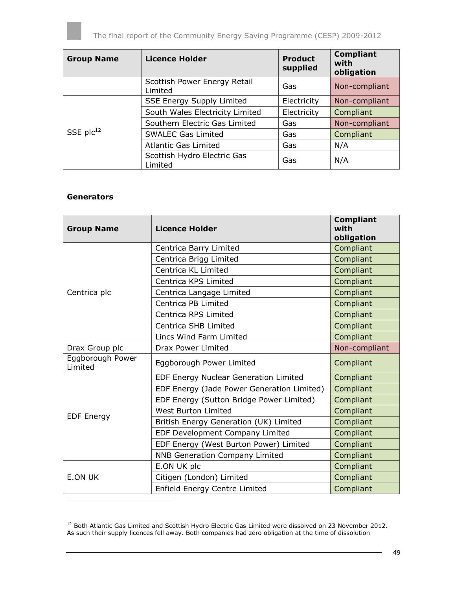

| <b>Group Name</b> | <b>Licence Holder</b>                   | <b>Product</b><br>supplied | <b>Compliant</b><br>with<br>obligation |
|-------------------|-----------------------------------------|----------------------------|----------------------------------------|
|                   | Scottish Power Energy Retail<br>Limited | Gas                        | Non-compliant                          |
|                   | <b>SSE Energy Supply Limited</b>        | Electricity                | Non-compliant                          |
| SSE $plc12$       | South Wales Electricity Limited         | Electricity                | Compliant                              |
|                   | Southern Electric Gas Limited           | Gas                        | Non-compliant                          |
|                   | <b>SWALEC Gas Limited</b>               | Gas                        | Compliant                              |
|                   | <b>Atlantic Gas Limited</b>             | Gas                        | N/A                                    |
|                   | Scottish Hydro Electric Gas<br>Limited  | Gas                        | N/A                                    |

#### **Generators**

l

| <b>Group Name</b>           | <b>Licence Holder</b>                      | <b>Compliant</b><br>with<br>obligation |
|-----------------------------|--------------------------------------------|----------------------------------------|
|                             | Centrica Barry Limited                     | Compliant                              |
|                             | Centrica Brigg Limited                     | Compliant                              |
|                             | Centrica KL Limited                        | Compliant                              |
|                             | Centrica KPS Limited                       | Compliant                              |
| Centrica plc                | Centrica Langage Limited                   | Compliant                              |
|                             | Centrica PB Limited                        | Compliant                              |
|                             | Centrica RPS Limited                       | Compliant                              |
|                             | Centrica SHB Limited                       | Compliant                              |
|                             | Lincs Wind Farm Limited                    | Compliant                              |
| Drax Group plc              | Drax Power Limited                         | Non-compliant                          |
| Eggborough Power<br>Limited | Eggborough Power Limited                   | Compliant                              |
|                             | EDF Energy Nuclear Generation Limited      | Compliant                              |
|                             | EDF Energy (Jade Power Generation Limited) | Compliant                              |
|                             | EDF Energy (Sutton Bridge Power Limited)   | Compliant                              |
| <b>EDF Energy</b>           | <b>West Burton Limited</b>                 | Compliant                              |
|                             | British Energy Generation (UK) Limited     | Compliant                              |
|                             | EDF Development Company Limited            | Compliant                              |
|                             | EDF Energy (West Burton Power) Limited     | Compliant                              |
|                             | <b>NNB Generation Company Limited</b>      | Compliant                              |
|                             | E.ON UK plc                                | Compliant                              |
| <b>E.ON UK</b>              | Citigen (London) Limited                   | Compliant                              |
|                             | Enfield Energy Centre Limited              | Compliant                              |

 $12$  Both Atlantic Gas Limited and Scottish Hydro Electric Gas Limited were dissolved on 23 November 2012. As such their supply licences fell away. Both companies had zero obligation at the time of dissolution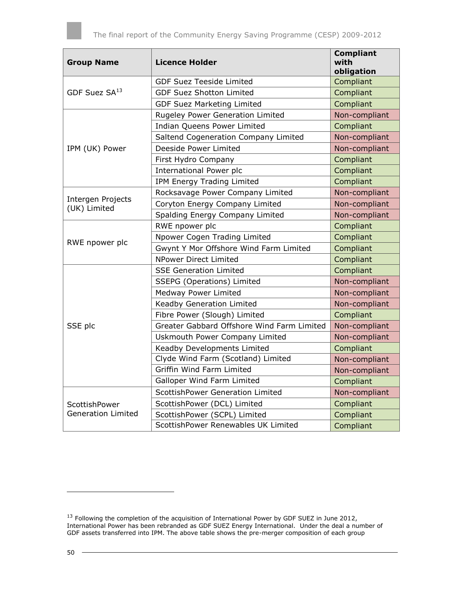| <b>Group Name</b>                 | <b>Licence Holder</b>                      | <b>Compliant</b><br>with<br>obligation |
|-----------------------------------|--------------------------------------------|----------------------------------------|
|                                   | <b>GDF Suez Teeside Limited</b>            | Compliant                              |
| GDF Suez SA <sup>13</sup>         | <b>GDF Suez Shotton Limited</b>            | Compliant                              |
|                                   | <b>GDF Suez Marketing Limited</b>          | Compliant                              |
|                                   | Rugeley Power Generation Limited           | Non-compliant                          |
|                                   | Indian Queens Power Limited                | Compliant                              |
|                                   | Saltend Cogeneration Company Limited       | Non-compliant                          |
| IPM (UK) Power                    | Deeside Power Limited                      | Non-compliant                          |
|                                   | First Hydro Company                        | Compliant                              |
|                                   | International Power plc                    | Compliant                              |
|                                   | IPM Energy Trading Limited                 | Compliant                              |
|                                   | Rocksavage Power Company Limited           | Non-compliant                          |
| Intergen Projects<br>(UK) Limited | Coryton Energy Company Limited             | Non-compliant                          |
|                                   | Spalding Energy Company Limited            | Non-compliant                          |
|                                   | RWE npower plc                             | Compliant                              |
|                                   | Npower Cogen Trading Limited               | Compliant                              |
| RWE npower plc                    | Gwynt Y Mor Offshore Wind Farm Limited     | Compliant                              |
|                                   | <b>NPower Direct Limited</b>               | Compliant                              |
|                                   | <b>SSE Generation Limited</b>              | Compliant                              |
|                                   | SSEPG (Operations) Limited                 | Non-compliant                          |
|                                   | <b>Medway Power Limited</b>                | Non-compliant                          |
|                                   | Keadby Generation Limited                  | Non-compliant                          |
|                                   | Fibre Power (Slough) Limited               | Compliant                              |
| SSE plc                           | Greater Gabbard Offshore Wind Farm Limited | Non-compliant                          |
|                                   | Uskmouth Power Company Limited             | Non-compliant                          |
|                                   | Keadby Developments Limited                | Compliant                              |
|                                   | Clyde Wind Farm (Scotland) Limited         | Non-compliant                          |
|                                   | Griffin Wind Farm Limited                  | Non-compliant                          |
|                                   | Galloper Wind Farm Limited                 | Compliant                              |
|                                   | ScottishPower Generation Limited           | Non-compliant                          |
| ScottishPower                     | ScottishPower (DCL) Limited                | Compliant                              |
| <b>Generation Limited</b>         | ScottishPower (SCPL) Limited               | Compliant                              |
|                                   | ScottishPower Renewables UK Limited        | Compliant                              |

ł

 $^{13}$  Following the completion of the acquisition of International Power by GDF SUEZ in June 2012, International Power has been rebranded as GDF SUEZ Energy International. Under the deal a number of GDF assets transferred into IPM. The above table shows the pre-merger composition of each group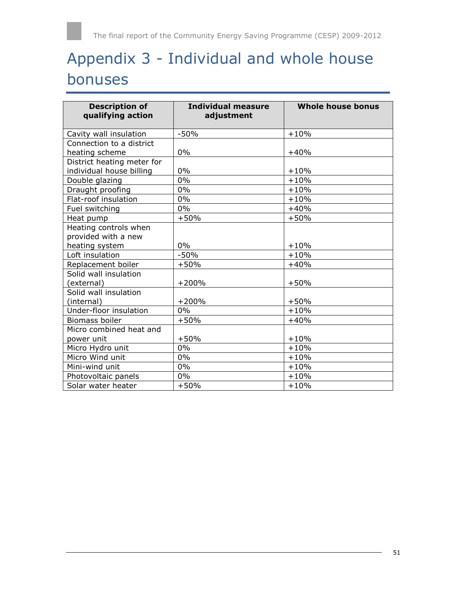# <span id="page-50-0"></span>Appendix 3 - Individual and whole house bonuses

| <b>Description of</b><br>qualifying action   | <b>Individual measure</b><br>adjustment | <b>Whole house bonus</b> |
|----------------------------------------------|-----------------------------------------|--------------------------|
| Cavity wall insulation                       | $-50%$                                  | $+10%$                   |
| Connection to a district                     |                                         |                          |
| heating scheme                               | 0%                                      | $+40%$                   |
| District heating meter for                   |                                         |                          |
| individual house billing                     | 0%                                      | $+10%$                   |
| Double glazing                               | 0%                                      | $+10%$                   |
| Draught proofing                             | 0%                                      | $+10%$                   |
| Flat-roof insulation                         | $0\%$                                   | $+10%$                   |
| Fuel switching                               | 0%                                      | $+40%$                   |
| Heat pump                                    | $+50%$                                  | $+50%$                   |
| Heating controls when<br>provided with a new |                                         |                          |
| heating system                               | $0\%$                                   | $+10%$                   |
| Loft insulation                              | $-50%$                                  | $+10%$                   |
| Replacement boiler                           | $+50%$                                  | $+40%$                   |
| Solid wall insulation                        |                                         |                          |
| (external)                                   | $+200%$                                 | $+50%$                   |
| Solid wall insulation                        |                                         |                          |
| (internal)                                   | $+200%$                                 | $+50%$                   |
| Under-floor insulation                       | $0\%$                                   | $+10%$                   |
| <b>Biomass boiler</b>                        | $+50%$                                  | $+40%$                   |
| Micro combined heat and                      |                                         |                          |
| power unit                                   | $+50%$                                  | $+10%$                   |
| Micro Hydro unit                             | 0%                                      | $+10%$                   |
| Micro Wind unit                              | $0\%$                                   | $+10%$                   |
| Mini-wind unit                               | 0%                                      | $+10%$                   |
| Photovoltaic panels                          | 0%                                      | $+10%$                   |
| Solar water heater                           | $+50%$                                  | $+10%$                   |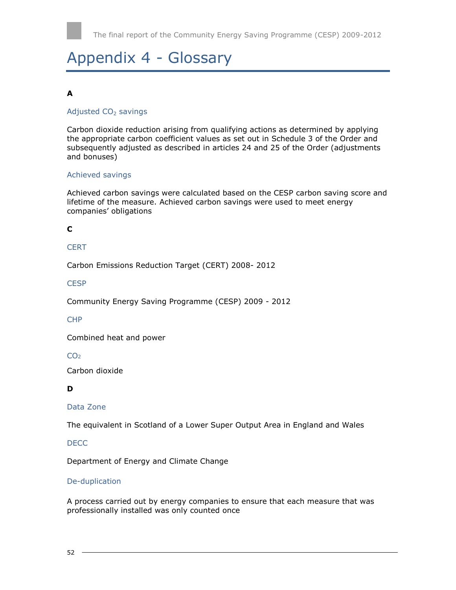# <span id="page-51-0"></span>Appendix 4 - Glossary

#### **A**

#### Adjusted CO<sub>2</sub> savings

Carbon dioxide reduction arising from qualifying actions as determined by applying the appropriate carbon coefficient values as set out in Schedule 3 of the Order and subsequently adjusted as described in articles 24 and 25 of the Order (adjustments and bonuses)

#### Achieved savings

Achieved carbon savings were calculated based on the CESP carbon saving score and lifetime of the measure. Achieved carbon savings were used to meet energy companies' obligations

#### **C**

#### **CERT**

Carbon Emissions Reduction Target (CERT) 2008- 2012

#### **CESP**

Community Energy Saving Programme (CESP) 2009 - 2012

#### **CHP**

Combined heat and power

#### CO<sub>2</sub>

Carbon dioxide

#### **D**

#### Data Zone

The equivalent in Scotland of a Lower Super Output Area in England and Wales

#### DECC

Department of Energy and Climate Change

#### De-duplication

A process carried out by energy companies to ensure that each measure that was professionally installed was only counted once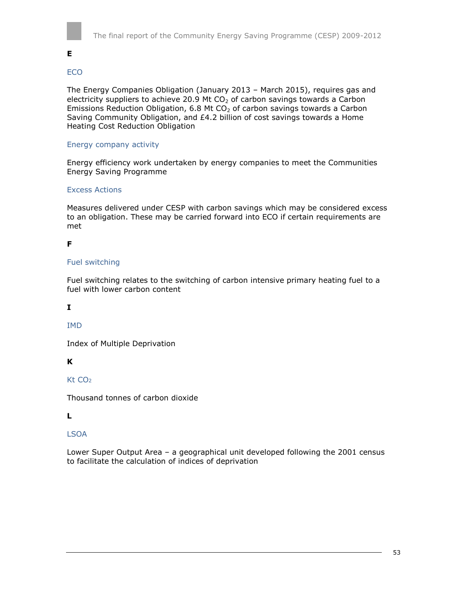

**E** 

#### ECO

The Energy Companies Obligation (January 2013 – March 2015), requires gas and electricity suppliers to achieve 20.9 Mt  $CO<sub>2</sub>$  of carbon savings towards a Carbon Emissions Reduction Obligation, 6.8 Mt  $CO<sub>2</sub>$  of carbon savings towards a Carbon Saving Community Obligation, and £4.2 billion of cost savings towards a Home Heating Cost Reduction Obligation

#### Energy company activity

Energy efficiency work undertaken by energy companies to meet the Communities Energy Saving Programme

#### Excess Actions

Measures delivered under CESP with carbon savings which may be considered excess to an obligation. These may be carried forward into ECO if certain requirements are met

#### **F**

#### Fuel switching

Fuel switching relates to the switching of carbon intensive primary heating fuel to a fuel with lower carbon content

#### **I**

IMD

Index of Multiple Deprivation

**K** 

K<sub>t</sub> CO<sub>2</sub>

Thousand tonnes of carbon dioxide

#### **L**

#### LSOA

Lower Super Output Area – a geographical unit developed following the 2001 census to facilitate the calculation of indices of deprivation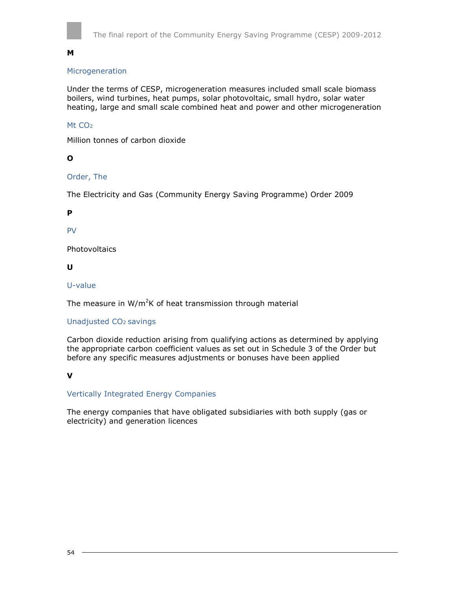

#### **M**

#### Microgeneration

Under the terms of CESP, microgeneration measures included small scale biomass boilers, wind turbines, heat pumps, solar photovoltaic, small hydro, solar water heating, large and small scale combined heat and power and other microgeneration

#### Mt CO<sub>2</sub>

Million tonnes of carbon dioxide

#### **O**

#### Order, The

The Electricity and Gas (Community Energy Saving Programme) Order 2009

#### **P**

PV

**Photovoltaics** 

#### **U**

U-value

The measure in  $W/m^2K$  of heat transmission through material

#### Unadjusted CO2 savings

Carbon dioxide reduction arising from qualifying actions as determined by applying the appropriate carbon coefficient values as set out in Schedule 3 of the Order but before any specific measures adjustments or bonuses have been applied

#### **V**

#### Vertically Integrated Energy Companies

<span id="page-53-0"></span>The energy companies that have obligated subsidiaries with both supply (gas or electricity) and generation licences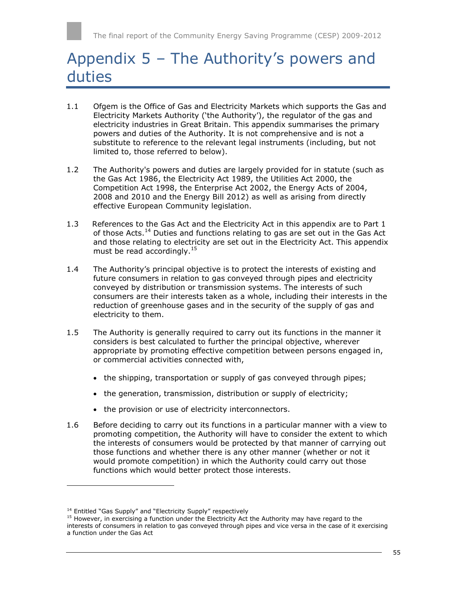# Appendix 5 – The Authority's powers and duties

- 1.1 Ofgem is the Office of Gas and Electricity Markets which supports the Gas and Electricity Markets Authority ('the Authority'), the regulator of the gas and electricity industries in Great Britain. This appendix summarises the primary powers and duties of the Authority. It is not comprehensive and is not a substitute to reference to the relevant legal instruments (including, but not limited to, those referred to below).
- 1.2 The Authority's powers and duties are largely provided for in statute (such as the Gas Act 1986, the Electricity Act 1989, the Utilities Act 2000, the Competition Act 1998, the Enterprise Act 2002, the Energy Acts of 2004, 2008 and 2010 and the Energy Bill 2012) as well as arising from directly effective European Community legislation.
- 1.3 References to the Gas Act and the Electricity Act in this appendix are to Part 1 of those Acts.<sup>14</sup> Duties and functions relating to gas are set out in the Gas Act and those relating to electricity are set out in the Electricity Act. This appendix must be read accordingly.<sup>15</sup>
- 1.4 The Authority's principal objective is to protect the interests of existing and future consumers in relation to gas conveyed through pipes and electricity conveyed by distribution or transmission systems. The interests of such consumers are their interests taken as a whole, including their interests in the reduction of greenhouse gases and in the security of the supply of gas and electricity to them.
- 1.5 The Authority is generally required to carry out its functions in the manner it considers is best calculated to further the principal objective, wherever appropriate by promoting effective competition between persons engaged in, or commercial activities connected with,
	- the shipping, transportation or supply of gas conveyed through pipes;
	- the generation, transmission, distribution or supply of electricity;
	- the provision or use of electricity interconnectors.
- 1.6 Before deciding to carry out its functions in a particular manner with a view to promoting competition, the Authority will have to consider the extent to which the interests of consumers would be protected by that manner of carrying out those functions and whether there is any other manner (whether or not it would promote competition) in which the Authority could carry out those functions which would better protect those interests.

l

<sup>&</sup>lt;sup>14</sup> Entitled "Gas Supply" and "Electricity Supply" respectively

 $15$  However, in exercising a function under the Electricity Act the Authority may have regard to the interests of consumers in relation to gas conveyed through pipes and vice versa in the case of it exercising a function under the Gas Act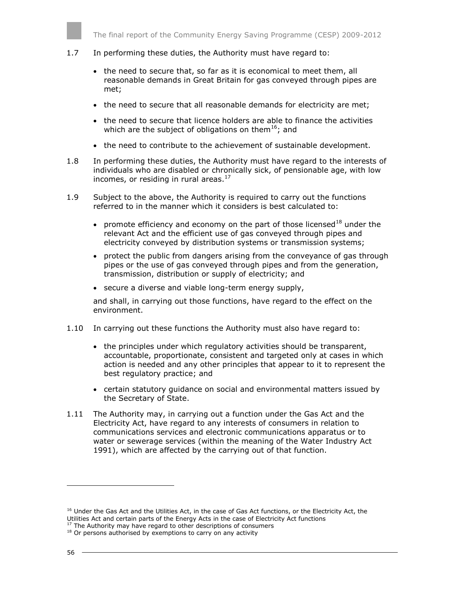

#### 1.7 In performing these duties, the Authority must have regard to:

- the need to secure that, so far as it is economical to meet them, all reasonable demands in Great Britain for gas conveyed through pipes are met;
- the need to secure that all reasonable demands for electricity are met;
- the need to secure that licence holders are able to finance the activities which are the subject of obligations on them<sup>16</sup>; and
- the need to contribute to the achievement of sustainable development.
- 1.8 In performing these duties, the Authority must have regard to the interests of individuals who are disabled or chronically sick, of pensionable age, with low incomes, or residing in rural areas. $17$
- 1.9 Subject to the above, the Authority is required to carry out the functions referred to in the manner which it considers is best calculated to:
	- promote efficiency and economy on the part of those licensed $^{18}$  under the relevant Act and the efficient use of gas conveyed through pipes and electricity conveyed by distribution systems or transmission systems;
	- protect the public from dangers arising from the conveyance of gas through pipes or the use of gas conveyed through pipes and from the generation, transmission, distribution or supply of electricity; and
	- secure a diverse and viable long-term energy supply,

and shall, in carrying out those functions, have regard to the effect on the environment.

- 1.10 In carrying out these functions the Authority must also have regard to:
	- the principles under which regulatory activities should be transparent, accountable, proportionate, consistent and targeted only at cases in which action is needed and any other principles that appear to it to represent the best regulatory practice; and
	- certain statutory guidance on social and environmental matters issued by the Secretary of State.
- 1.11 The Authority may, in carrying out a function under the Gas Act and the Electricity Act, have regard to any interests of consumers in relation to communications services and electronic communications apparatus or to water or sewerage services (within the meaning of the Water Industry Act 1991), which are affected by the carrying out of that function.

l

<sup>&</sup>lt;sup>16</sup> Under the Gas Act and the Utilities Act, in the case of Gas Act functions, or the Electricity Act, the Utilities Act and certain parts of the Energy Acts in the case of Electricity Act functions  $17$  The Authority may have regard to other descriptions of consumers

<sup>&</sup>lt;sup>18</sup> Or persons authorised by exemptions to carry on any activity